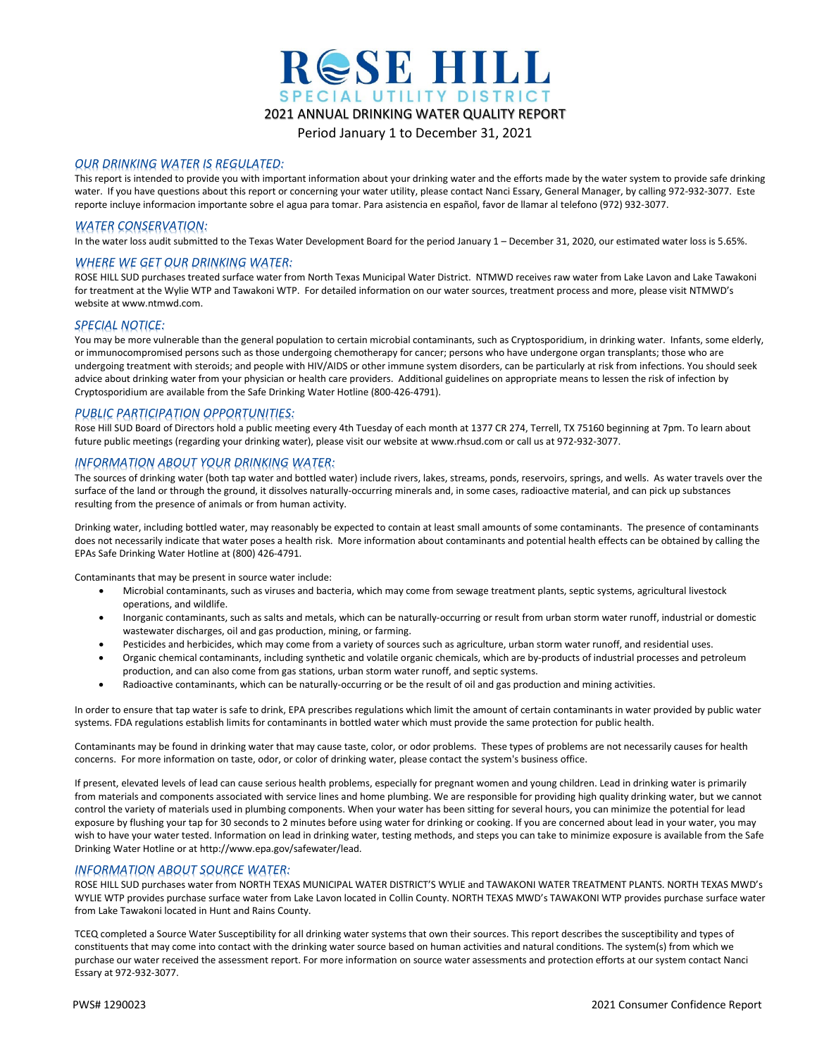

Period January 1 to December 31, 2021

#### *OUR DRINKING WATER IS REGULATED:*

This report is intended to provide you with important information about your drinking water and the efforts made by the water system to provide safe drinking water. If you have questions about this report or concerning your water utility, please contact Nanci Essary, General Manager, by calling 972-932-3077. Este reporte incluye informacion importante sobre el agua para tomar. Para asistencia en español, favor de llamar al telefono (972) 932-3077.

### *WATER CONSERVATION:*

In the water loss audit submitted to the Texas Water Development Board for the period January 1 – December 31, 2020, our estimated water loss is 5.65%.

### *WHERE WE GET OUR DRINKING WATER:*

ROSE HILL SUD purchases treated surface water from North Texas Municipal Water District. NTMWD receives raw water from Lake Lavon and Lake Tawakoni for treatment at the Wylie WTP and Tawakoni WTP. For detailed information on our water sources, treatment process and more, please visit NTMWD's website a[t www.ntmwd.com.](http://www.ntmwd.com/)

#### *SPECIAL NOTICE:*

You may be more vulnerable than the general population to certain microbial contaminants, such as Cryptosporidium, in drinking water. Infants, some elderly, or immunocompromised persons such as those undergoing chemotherapy for cancer; persons who have undergone organ transplants; those who are undergoing treatment with steroids; and people with HIV/AIDS or other immune system disorders, can be particularly at risk from infections. You should seek advice about drinking water from your physician or health care providers. Additional guidelines on appropriate means to lessen the risk of infection by Cryptosporidium are available from the Safe Drinking Water Hotline (800-426-4791).

### *PUBLIC PARTICIPATION OPPORTUNITIES:*

Rose Hill SUD Board of Directors hold a public meeting every 4th Tuesday of each month at 1377 CR 274, Terrell, TX 75160 beginning at 7pm. To learn about future public meetings (regarding your drinking water), please visit our website a[t www.rhsud.com](http://www.rhsud.com/) or call us at 972-932-3077.

#### *INFORMATION ABOUT YOUR DRINKING WATER:*

The sources of drinking water (both tap water and bottled water) include rivers, lakes, streams, ponds, reservoirs, springs, and wells. As water travels over the surface of the land or through the ground, it dissolves naturally-occurring minerals and, in some cases, radioactive material, and can pick up substances resulting from the presence of animals or from human activity.

Drinking water, including bottled water, may reasonably be expected to contain at least small amounts of some contaminants. The presence of contaminants does not necessarily indicate that water poses a health risk. More information about contaminants and potential health effects can be obtained by calling the EPAs Safe Drinking Water Hotline at (800) 426-4791.

Contaminants that may be present in source water include:

- Microbial contaminants, such as viruses and bacteria, which may come from sewage treatment plants, septic systems, agricultural livestock operations, and wildlife.
- Inorganic contaminants, such as salts and metals, which can be naturally-occurring or result from urban storm water runoff, industrial or domestic wastewater discharges, oil and gas production, mining, or farming.
- Pesticides and herbicides, which may come from a variety of sources such as agriculture, urban storm water runoff, and residential uses.
- Organic chemical contaminants, including synthetic and volatile organic chemicals, which are by-products of industrial processes and petroleum production, and can also come from gas stations, urban storm water runoff, and septic systems.
- Radioactive contaminants, which can be naturally-occurring or be the result of oil and gas production and mining activities.

In order to ensure that tap water is safe to drink, EPA prescribes regulations which limit the amount of certain contaminants in water provided by public water systems. FDA regulations establish limits for contaminants in bottled water which must provide the same protection for public health.

Contaminants may be found in drinking water that may cause taste, color, or odor problems. These types of problems are not necessarily causes for health concerns. For more information on taste, odor, or color of drinking water, please contact the system's business office.

If present, elevated levels of lead can cause serious health problems, especially for pregnant women and young children. Lead in drinking water is primarily from materials and components associated with service lines and home plumbing. We are responsible for providing high quality drinking water, but we cannot control the variety of materials used in plumbing components. When your water has been sitting for several hours, you can minimize the potential for lead exposure by flushing your tap for 30 seconds to 2 minutes before using water for drinking or cooking. If you are concerned about lead in your water, you may wish to have your water tested. Information on lead in drinking water, testing methods, and steps you can take to minimize exposure is available from the Safe Drinking Water Hotline or at http://www.epa.gov/safewater/lead.

### *INFORMATION ABOUT SOURCE WATER:*

ROSE HILL SUD purchases water from NORTH TEXAS MUNICIPAL WATER DISTRICT'S WYLIE and TAWAKONI WATER TREATMENT PLANTS. NORTH TEXAS MWD's WYLIE WTP provides purchase surface water from Lake Lavon located in Collin County. NORTH TEXAS MWD's TAWAKONI WTP provides purchase surface water from Lake Tawakoni located in Hunt and Rains County.

TCEQ completed a Source Water Susceptibility for all drinking water systems that own their sources. This report describes the susceptibility and types of constituents that may come into contact with the drinking water source based on human activities and natural conditions. The system(s) from which we purchase our water received the assessment report. For more information on source water assessments and protection efforts at our system contact Nanci Essary at 972-932-3077.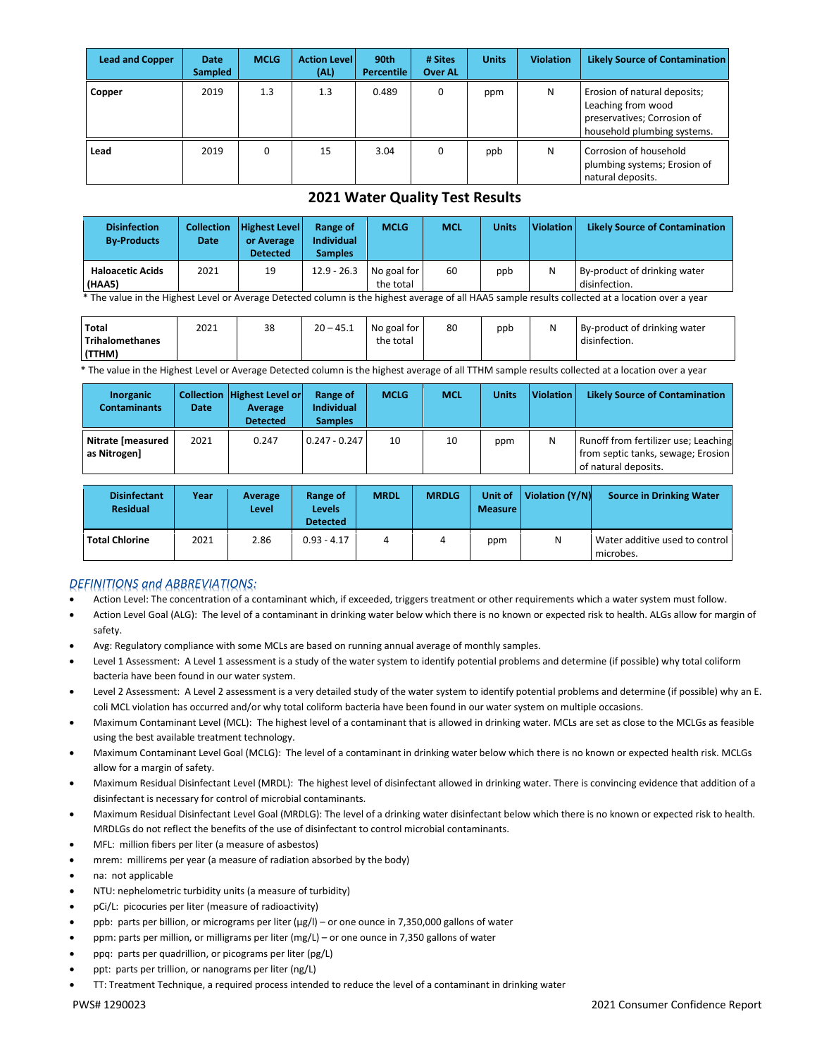| <b>Lead and Copper</b> | Date<br><b>Sampled</b> | <b>MCLG</b> | <b>Action Level</b><br>(AL) | 90th<br><b>Percentile</b> | # Sites<br><b>Over AL</b> | <b>Units</b> | <b>Violation</b> | <b>Likely Source of Contamination</b>                                                                            |
|------------------------|------------------------|-------------|-----------------------------|---------------------------|---------------------------|--------------|------------------|------------------------------------------------------------------------------------------------------------------|
| Copper                 | 2019                   | 1.3         | 1.3                         | 0.489                     | 0                         | ppm          | N                | Erosion of natural deposits;<br>Leaching from wood<br>preservatives; Corrosion of<br>household plumbing systems. |
| Lead                   | 2019                   | 0           | 15                          | 3.04                      |                           | ppb          | N                | Corrosion of household<br>plumbing systems; Erosion of<br>natural deposits.                                      |

### **2021 Water Quality Test Results**

| <b>Disinfection</b><br><b>By-Products</b> | <b>Collection</b><br><b>Date</b> | <b>Highest Level</b><br>or Average<br><b>Detected</b> | Range of<br><b>Individual</b><br><b>Samples</b> | <b>MCLG</b>              | <b>MCL</b> | Units | <b>Violation</b> | <b>Likely Source of Contamination</b>         |
|-------------------------------------------|----------------------------------|-------------------------------------------------------|-------------------------------------------------|--------------------------|------------|-------|------------------|-----------------------------------------------|
| <b>Haloacetic Acids</b><br>(HAA5)         | 2021                             | 19                                                    | $12.9 - 26.3$                                   | No goal for<br>the total | 60         | ppb   | N                | By-product of drinking water<br>disinfection. |

\* The value in the Highest Level or Average Detected column is the highest average of all HAA5 sample results collected at a location over a year

| Total             | 2021 | 38 | $20 - 45.1$ | No goal for | 80 | ppb | N | By-product of drinking water |
|-------------------|------|----|-------------|-------------|----|-----|---|------------------------------|
| l Trihalomethanes |      |    |             | the total   |    |     |   | disinfection.                |
| (TTHM)            |      |    |             |             |    |     |   |                              |

\* The value in the Highest Level or Average Detected column is the highest average of all TTHM sample results collected at a location over a year7

| Inorganic<br><b>Contaminants</b>  | <b>Date</b> | Collection Highest Level or<br>Average<br><b>Detected</b> | Range of<br><b>Individual</b><br><b>Samples</b> | <b>MCLG</b> | <b>MCL</b> | <b>Units</b> | <b>Violation</b> | <b>Likely Source of Contamination</b>                                                              |
|-----------------------------------|-------------|-----------------------------------------------------------|-------------------------------------------------|-------------|------------|--------------|------------------|----------------------------------------------------------------------------------------------------|
| Nitrate [measured<br>as Nitrogen] | 2021        | 0.247                                                     | $0.247 - 0.247$                                 | 10          | 10         | ppm          | N                | Runoff from fertilizer use; Leaching<br>from septic tanks, sewage; Erosion<br>of natural deposits. |

| <b>Disinfectant</b><br><b>Residual</b> | Year | Average<br>Level | Range of<br>Levels<br><b>Detected</b> | <b>MRDL</b> | <b>MRDLG</b> | Unit of<br><b>Measure</b> | Violation (Y/N) | <b>Source in Drinking Water</b>             |
|----------------------------------------|------|------------------|---------------------------------------|-------------|--------------|---------------------------|-----------------|---------------------------------------------|
| <b>Total Chlorine</b>                  | 2021 | 2.86             | $0.93 - 4.17$                         |             | 4            | ppm                       |                 | Water additive used to control<br>microbes. |

### *DEFINITIONS and ABBREVIATIONS:*

- Action Level: The concentration of a contaminant which, if exceeded, triggers treatment or other requirements which a water system must follow.
- Action Level Goal (ALG): The level of a contaminant in drinking water below which there is no known or expected risk to health. ALGs allow for margin of safety.
- Avg: Regulatory compliance with some MCLs are based on running annual average of monthly samples.
- Level 1 Assessment: A Level 1 assessment is a study of the water system to identify potential problems and determine (if possible) why total coliform bacteria have been found in our water system.
- Level 2 Assessment: A Level 2 assessment is a very detailed study of the water system to identify potential problems and determine (if possible) why an E. coli MCL violation has occurred and/or why total coliform bacteria have been found in our water system on multiple occasions.
- Maximum Contaminant Level (MCL): The highest level of a contaminant that is allowed in drinking water. MCLs are set as close to the MCLGs as feasible using the best available treatment technology.
- Maximum Contaminant Level Goal (MCLG): The level of a contaminant in drinking water below which there is no known or expected health risk. MCLGs allow for a margin of safety.
- Maximum Residual Disinfectant Level (MRDL): The highest level of disinfectant allowed in drinking water. There is convincing evidence that addition of a disinfectant is necessary for control of microbial contaminants.
- Maximum Residual Disinfectant Level Goal (MRDLG): The level of a drinking water disinfectant below which there is no known or expected risk to health. MRDLGs do not reflect the benefits of the use of disinfectant to control microbial contaminants.
- MFL: million fibers per liter (a measure of asbestos)
- mrem: millirems per year (a measure of radiation absorbed by the body)
- na: not applicable
- NTU: nephelometric turbidity units (a measure of turbidity)
- pCi/L: picocuries per liter (measure of radioactivity)
- ppb: parts per billion, or micrograms per liter (µg/l) or one ounce in 7,350,000 gallons of water
- ppm: parts per million, or milligrams per liter (mg/L) or one ounce in 7,350 gallons of water
- ppq: parts per quadrillion, or picograms per liter (pg/L)
- ppt: parts per trillion, or nanograms per liter (ng/L)
- TT: Treatment Technique, a required process intended to reduce the level of a contaminant in drinking water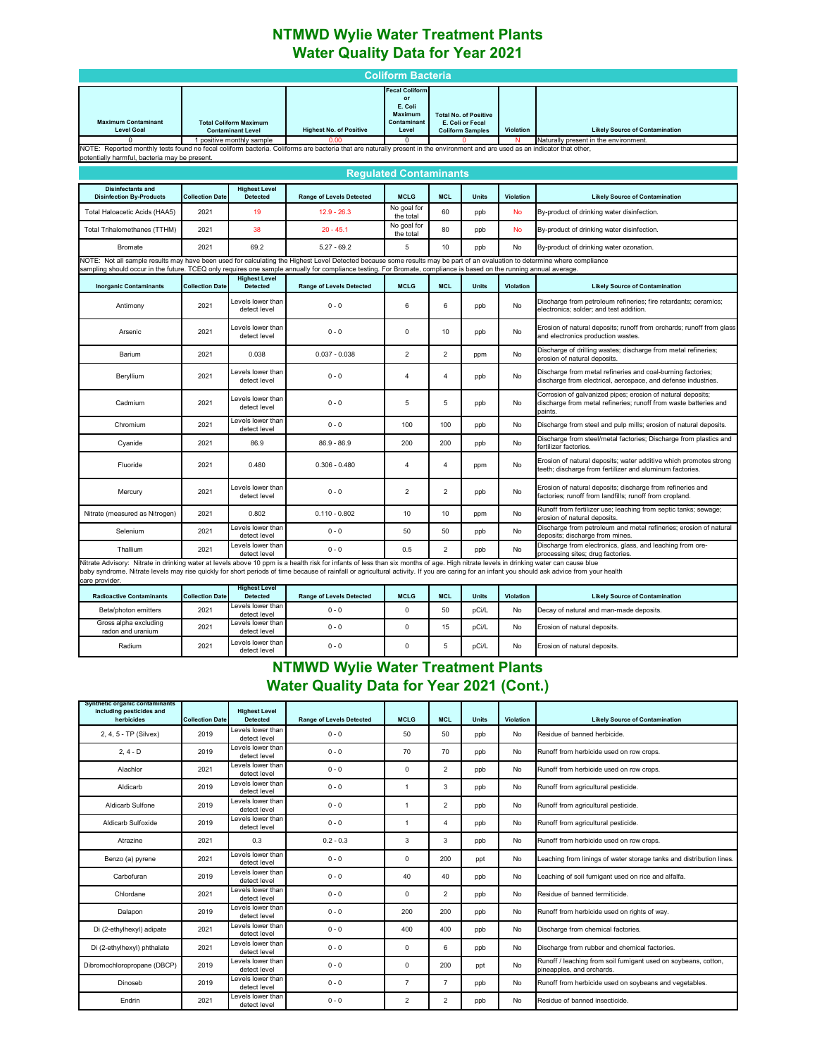### **NTMWD Wylie Water Treatment Plants Water Quality Data for Year 2021**

|                                                                                                                                                                                                                                                                                                                                                                                                         |                        |                                                                                        |                                 | <b>Coliform Bacteria</b>                                                                   |                         |                                                                             |                  |                                                                                                                                            |  |  |
|---------------------------------------------------------------------------------------------------------------------------------------------------------------------------------------------------------------------------------------------------------------------------------------------------------------------------------------------------------------------------------------------------------|------------------------|----------------------------------------------------------------------------------------|---------------------------------|--------------------------------------------------------------------------------------------|-------------------------|-----------------------------------------------------------------------------|------------------|--------------------------------------------------------------------------------------------------------------------------------------------|--|--|
| <b>Maximum Contaminant</b><br><b>Level Goal</b><br>NOTE: Reported monthly tests found no fecal coliform bacteria. Coliforms are bacteria that are naturally present in the environment and are used as an indicator that other,                                                                                                                                                                         |                        | <b>Total Coliform Maximum</b><br><b>Contaminant Level</b><br>1 positive monthly sample | <b>Highest No. of Positive</b>  | ecal Coliform<br>or<br>E. Coli<br><b>Maximum</b><br>Contaminant<br>Level<br>$\overline{0}$ |                         | <b>Total No. of Positive</b><br>E. Coli or Fecal<br><b>Coliform Samples</b> | <b>Violation</b> | <b>Likely Source of Contamination</b><br>Naturally present in the environment                                                              |  |  |
| potentially harmful, bacteria may be present.                                                                                                                                                                                                                                                                                                                                                           |                        |                                                                                        |                                 |                                                                                            |                         |                                                                             |                  |                                                                                                                                            |  |  |
| <b>Requlated Contaminants</b>                                                                                                                                                                                                                                                                                                                                                                           |                        |                                                                                        |                                 |                                                                                            |                         |                                                                             |                  |                                                                                                                                            |  |  |
| <b>Disinfectants and</b><br><b>Disinfection By-Products</b>                                                                                                                                                                                                                                                                                                                                             | <b>Collection Date</b> | <b>Highest Level</b><br><b>Detected</b>                                                | <b>Range of Levels Detected</b> | <b>MCLG</b>                                                                                | <b>MCL</b>              | <b>Units</b>                                                                | <b>Violation</b> | <b>Likely Source of Contamination</b>                                                                                                      |  |  |
| Total Haloacetic Acids (HAA5)                                                                                                                                                                                                                                                                                                                                                                           | 2021                   | 19                                                                                     | $12.9 - 26.3$                   | No goal for<br>the total                                                                   | 60                      | ppb                                                                         | <b>No</b>        | By-product of drinking water disinfection.                                                                                                 |  |  |
| <b>Total Trihalomethanes (TTHM)</b>                                                                                                                                                                                                                                                                                                                                                                     | 2021                   | 38                                                                                     | $20 - 45.1$                     | No goal for<br>the total                                                                   | 80                      | ppb                                                                         | No               | By-product of drinking water disinfection.                                                                                                 |  |  |
| <b>Bromate</b>                                                                                                                                                                                                                                                                                                                                                                                          | 2021                   | 69.2                                                                                   | $5.27 - 69.2$                   | 5                                                                                          | 10                      | ppb                                                                         | No               | By-product of drinking water ozonation.                                                                                                    |  |  |
| NOTE: Not all sample results may have been used for calculating the Highest Level Detected because some results may be part of an evaluation to determine where compliance<br>sampling should occur in the future. TCEQ only requires one sample annually for compliance testing. For Bromate, compliance is based on the running annual average.                                                       |                        |                                                                                        |                                 |                                                                                            |                         |                                                                             |                  |                                                                                                                                            |  |  |
| <b>Inorganic Contaminants</b>                                                                                                                                                                                                                                                                                                                                                                           | <b>Collection Date</b> | <b>Highest Level</b><br><b>Detected</b>                                                | <b>Range of Levels Detected</b> | <b>MCLG</b>                                                                                | <b>MCL</b>              | <b>Units</b>                                                                | Violation        | <b>Likely Source of Contamination</b>                                                                                                      |  |  |
| Antimony                                                                                                                                                                                                                                                                                                                                                                                                | 2021                   | Levels lower than<br>detect level                                                      | $0 - 0$                         | 6                                                                                          | 6                       | ppb                                                                         | No               | Discharge from petroleum refineries; fire retardants; ceramics;<br>electronics; solder; and test addition.                                 |  |  |
| Arsenic                                                                                                                                                                                                                                                                                                                                                                                                 | 2021                   | Levels lower than<br>detect level                                                      | $0 - 0$                         | $\mathbf 0$                                                                                | 10                      | ppb                                                                         | No               | Erosion of natural deposits; runoff from orchards; runoff from glass<br>and electronics production wastes.                                 |  |  |
| Barium                                                                                                                                                                                                                                                                                                                                                                                                  | 2021                   | 0.038                                                                                  | $0.037 - 0.038$                 | $\overline{c}$                                                                             | $\overline{2}$          | ppm                                                                         | No               | Discharge of drilling wastes; discharge from metal refineries;<br>erosion of natural deposits.                                             |  |  |
| Beryllium                                                                                                                                                                                                                                                                                                                                                                                               | 2021                   | Levels lower than<br>detect level                                                      | $0 - 0$                         | $\overline{a}$                                                                             | $\overline{4}$          | ppb                                                                         | No               | Discharge from metal refineries and coal-burning factories;<br>discharge from electrical, aerospace, and defense industries.               |  |  |
| Cadmium                                                                                                                                                                                                                                                                                                                                                                                                 | 2021                   | Levels lower than<br>detect level                                                      | $0 - 0$                         | 5                                                                                          | 5                       | ppb                                                                         | No               | Corrosion of galvanized pipes; erosion of natural deposits;<br>discharge from metal refineries; runoff from waste batteries and<br>paints. |  |  |
| Chromium                                                                                                                                                                                                                                                                                                                                                                                                | 2021                   | Levels lower than<br>detect level                                                      | $0 - 0$                         | 100                                                                                        | 100                     | ppb                                                                         | No               | Discharge from steel and pulp mills; erosion of natural deposits.                                                                          |  |  |
| Cyanide                                                                                                                                                                                                                                                                                                                                                                                                 | 2021                   | 86.9                                                                                   | 86.9 - 86.9                     | 200                                                                                        | 200                     | ppb                                                                         | No               | Discharge from steel/metal factories; Discharge from plastics and<br>fertilizer factories.                                                 |  |  |
| Fluoride                                                                                                                                                                                                                                                                                                                                                                                                | 2021                   | 0.480                                                                                  | $0.306 - 0.480$                 | $\overline{4}$                                                                             | $\overline{\mathbf{4}}$ | ppm                                                                         | No               | Erosion of natural deposits; water additive which promotes strong<br>teeth; discharge from fertilizer and aluminum factories.              |  |  |
| Mercury                                                                                                                                                                                                                                                                                                                                                                                                 | 2021                   | Levels lower than<br>detect level                                                      | $0 - 0$                         | $\overline{2}$                                                                             | $\overline{\mathbf{c}}$ | ppb                                                                         | No               | Erosion of natural deposits; discharge from refineries and<br>factories; runoff from landfills; runoff from cropland.                      |  |  |
| Nitrate (measured as Nitrogen)                                                                                                                                                                                                                                                                                                                                                                          | 2021                   | 0.802                                                                                  | $0.110 - 0.802$                 | 10                                                                                         | 10                      | ppm                                                                         | No               | Runoff from fertilizer use; leaching from septic tanks; sewage;<br>erosion of natural deposits.                                            |  |  |
| Selenium                                                                                                                                                                                                                                                                                                                                                                                                | 2021                   | Levels lower than<br>detect level                                                      | $0 - 0$                         | 50                                                                                         | 50                      | ppb                                                                         | No               | Discharge from petroleum and metal refineries; erosion of natural<br>deposits; discharge from mines.                                       |  |  |
| Thallium                                                                                                                                                                                                                                                                                                                                                                                                | 2021                   | Levels lower than<br>detect level                                                      | $0 - 0$                         | 0.5                                                                                        | $\overline{2}$          | ppb                                                                         | No               | Discharge from electronics, glass, and leaching from ore-<br>processing sites; drug factories.                                             |  |  |
| Nitrate Advisory: Nitrate in drinking water at levels above 10 ppm is a health risk for infants of less than six months of age. High nitrate levels in drinking water can cause blue<br>baby syndrome. Nitrate levels may rise quickly for short periods of time because of rainfall or agricultural activity. If you are caring for an infant you should ask advice from your health<br>care provider. |                        |                                                                                        |                                 |                                                                                            |                         |                                                                             |                  |                                                                                                                                            |  |  |
| <b>Radioactive Contaminants</b>                                                                                                                                                                                                                                                                                                                                                                         | <b>Collection Date</b> | <b>Highest Level</b><br><b>Detected</b>                                                | <b>Range of Levels Detected</b> | <b>MCLG</b>                                                                                | <b>MCL</b>              | <b>Units</b>                                                                | Violation        | <b>Likely Source of Contamination</b>                                                                                                      |  |  |
| Beta/photon emitters                                                                                                                                                                                                                                                                                                                                                                                    | 2021                   | Levels lower than<br>detect level                                                      | $0 - 0$                         | $\mathbf 0$                                                                                | 50                      | pCi/L                                                                       | No               | Decay of natural and man-made deposits.                                                                                                    |  |  |
| Gross alpha excluding<br>radon and uranium                                                                                                                                                                                                                                                                                                                                                              | 2021                   | Levels lower than<br>detect level                                                      | $0 - 0$                         | $\mathbf 0$                                                                                | 15                      | pCi/L                                                                       | No               | Erosion of natural deposits.                                                                                                               |  |  |
| Radium                                                                                                                                                                                                                                                                                                                                                                                                  | 2021                   | Levels lower than<br>detect level                                                      | $0 - 0$                         | $\mathbf 0$                                                                                | 5                       | pCi/L                                                                       | No               | Erosion of natural deposits.                                                                                                               |  |  |

### **NTMWD Wylie Water Treatment Plants Water Quality Data for Year 2021 (Cont.)**

| Synthetic organic contaminants<br>including pesticides and<br>herbicides | <b>Collection Date</b> | <b>Highest Level</b><br><b>Detected</b> | <b>Range of Levels Detected</b> | <b>MCLG</b>    | <b>MCL</b>     | <b>Units</b> | Violation | <b>Likely Source of Contamination</b>                                                       |
|--------------------------------------------------------------------------|------------------------|-----------------------------------------|---------------------------------|----------------|----------------|--------------|-----------|---------------------------------------------------------------------------------------------|
| 2, 4, 5 - TP (Silvex)                                                    | 2019                   | Levels lower than<br>detect level       | $0 - 0$                         | 50             | 50             | ppb          | No        | Residue of banned herbicide.                                                                |
| $2.4 - D$                                                                | 2019                   | Levels lower than<br>detect level       | $0 - 0$                         | 70             | 70             | ppb          | No        | Runoff from herbicide used on row crops.                                                    |
| Alachlor                                                                 | 2021                   | Levels lower than<br>detect level       | $0 - 0$                         | 0              | $\overline{2}$ | ppb          | No        | Runoff from herbicide used on row crops.                                                    |
| Aldicarb                                                                 | 2019                   | Levels lower than<br>detect level       | $0 - 0$                         |                | 3              | ppb          | No        | Runoff from agricultural pesticide.                                                         |
| Aldicarb Sulfone                                                         | 2019                   | Levels lower than<br>detect level       | $0 - 0$                         | -1             | $\overline{2}$ | ppb          | No        | Runoff from agricultural pesticide.                                                         |
| Aldicarb Sulfoxide                                                       | 2019                   | Levels lower than<br>detect level       | $0 - 0$                         | $\overline{1}$ | 4              | ppb          | No        | Runoff from agricultural pesticide.                                                         |
| Atrazine                                                                 | 2021                   | 0.3                                     | $0.2 - 0.3$                     | 3              | 3              | ppb          | No        | Runoff from herbicide used on row crops.                                                    |
| Benzo (a) pyrene                                                         | 2021                   | Levels lower than<br>detect level       | $0 - 0$                         | $\mathbf 0$    | 200            | ppt          | No        | Leaching from linings of water storage tanks and distribution lines.                        |
| Carbofuran                                                               | 2019                   | Levels lower than<br>detect level       | $0 - 0$                         | 40             | 40             | ppb          | No        | Leaching of soil fumigant used on rice and alfalfa.                                         |
| Chlordane                                                                | 2021                   | Levels lower than<br>detect level       | $0 - 0$                         | $\mathbf 0$    | $\overline{2}$ | ppb          | No        | Residue of banned termiticide.                                                              |
| Dalapon                                                                  | 2019                   | Levels lower than<br>detect level       | $0 - 0$                         | 200            | 200            | ppb          | No        | Runoff from herbicide used on rights of way.                                                |
| Di (2-ethylhexyl) adipate                                                | 2021                   | Levels lower than<br>detect level       | $0 - 0$                         | 400            | 400            | ppb          | No        | Discharge from chemical factories.                                                          |
| Di (2-ethylhexyl) phthalate                                              | 2021                   | Levels lower than<br>detect level       | $0 - 0$                         | $\mathbf 0$    | 6              | ppb          | No        | Discharge from rubber and chemical factories.                                               |
| Dibromochloropropane (DBCP)                                              | 2019                   | Levels lower than<br>detect level       | $0 - 0$                         | $\mathbf 0$    | 200            | ppt          | No        | Runoff / leaching from soil fumigant used on soybeans, cotton,<br>pineapples, and orchards. |
| Dinoseb                                                                  | 2019                   | Levels lower than<br>detect level       | $0 - 0$                         | $\overline{7}$ | $\overline{7}$ | ppb          | No        | Runoff from herbicide used on soybeans and vegetables.                                      |
| Endrin                                                                   | 2021                   | Levels lower than<br>detect level       | $0 - 0$                         | $\overline{2}$ | $\overline{2}$ | ppb          | No        | Residue of banned insecticide.                                                              |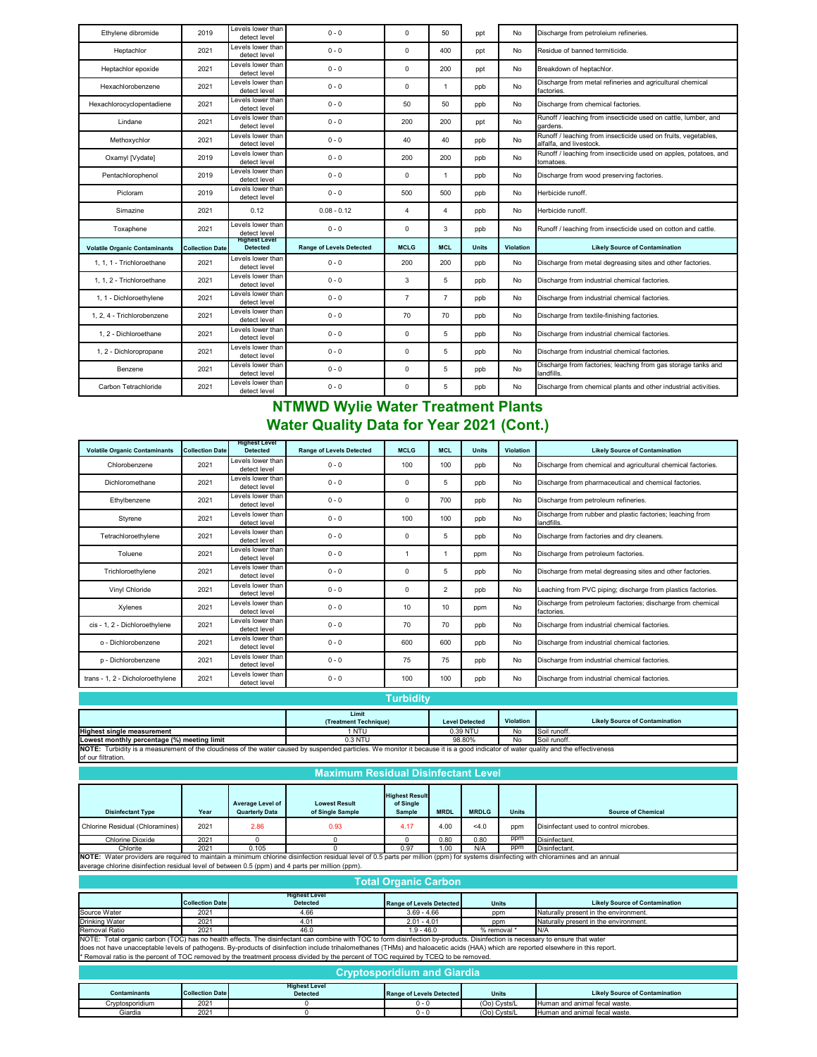| Ethylene dibromide                   | 2019                   | Levels lower than<br>detect level       | $0 - 0$                         | $\mathbf 0$    | 50             | ppt          | No        | Discharge from petroleium refineries.                                                     |
|--------------------------------------|------------------------|-----------------------------------------|---------------------------------|----------------|----------------|--------------|-----------|-------------------------------------------------------------------------------------------|
| Heptachlor                           | 2021                   | Levels lower than<br>detect level       | $0 - 0$                         | $\mathbf 0$    | 400            | ppt          | No        | Residue of banned termiticide.                                                            |
| Heptachlor epoxide                   | 2021                   | Levels lower than<br>detect level       | $0 - 0$                         | $\mathbf 0$    | 200            | ppt          | No        | Breakdown of heptachlor.                                                                  |
| Hexachlorobenzene                    | 2021                   | Levels lower than<br>detect level       | $0 - 0$                         | $\mathbf 0$    | $\mathbf{1}$   | ppb          | No        | Discharge from metal refineries and agricultural chemical<br>factories.                   |
| Hexachlorocyclopentadiene            | 2021                   | Levels lower than<br>detect level       | $0 - 0$                         | 50             | 50             | ppb          | No        | Discharge from chemical factories.                                                        |
| Lindane                              | 2021                   | Levels lower than<br>detect level       | $0 - 0$                         | 200            | 200            | ppt          | No        | Runoff / leaching from insecticide used on cattle, lumber, and<br>gardens.                |
| Methoxychlor                         | 2021                   | Levels lower than<br>detect level       | $0 - 0$                         | 40             | 40             | ppb          | No        | Runoff / leaching from insecticide used on fruits, vegetables,<br>alfalfa, and livestock. |
| Oxamyl [Vydate]                      | 2019                   | Levels lower than<br>detect level       | $0 - 0$                         | 200            | 200            | ppb          | No        | Runoff / leaching from insecticide used on apples, potatoes, and<br>tomatoes.             |
| Pentachlorophenol                    | 2019                   | Levels lower than<br>detect level       | $0 - 0$                         | $\mathbf 0$    | $\overline{1}$ | ppb          | No        | Discharge from wood preserving factories.                                                 |
| Picloram                             | 2019                   | Levels lower than<br>detect level       | $0 - 0$                         | 500            | 500            | ppb          | No        | Herbicide runoff.                                                                         |
| Simazine                             | 2021                   | 0.12                                    | $0.08 - 0.12$                   | $\overline{4}$ | 4              | ppb          | No        | Herbicide runoff.                                                                         |
| Toxaphene                            | 2021                   | Levels lower than<br>detect level       | $0 - 0$                         | $\mathbf 0$    | 3              | ppb          | No        | Runoff / leaching from insecticide used on cotton and cattle.                             |
| <b>Volatile Organic Contaminants</b> | <b>Collection Date</b> | <b>Highest Level</b><br><b>Detected</b> | <b>Range of Levels Detected</b> | <b>MCLG</b>    | <b>MCL</b>     | <b>Units</b> | Violation | <b>Likely Source of Contamination</b>                                                     |
| 1, 1, 1 - Trichloroethane            | 2021                   | Levels lower than<br>detect level       | $0 - 0$                         | 200            | 200            | ppb          | No        | Discharge from metal degreasing sites and other factories.                                |
| 1. 1. 2 - Trichloroethane            | 2021                   | Levels lower than<br>detect level       | $0 - 0$                         | 3              | 5              | ppb          | No        | Discharge from industrial chemical factories.                                             |
| 1, 1 - Dichloroethylene              | 2021                   | Levels lower than<br>detect level       | $0 - 0$                         | $\overline{7}$ | $\overline{7}$ | ppb          | No        | Discharge from industrial chemical factories.                                             |
| 1.2.4 - Trichlorobenzene             | 2021                   | Levels lower than<br>detect level       | $0 - 0$                         | 70             | 70             | ppb          | No        | Discharge from textile-finishing factories.                                               |
| 1.2 - Dichloroethane                 | 2021                   | Levels lower than<br>detect level       | $0 - 0$                         | $\mathbf 0$    | 5              | ppb          | No        | Discharge from industrial chemical factories.                                             |
| 1, 2 - Dichloropropane               | 2021                   | Levels lower than<br>detect level       | $0 - 0$                         | $\mathbf 0$    | 5              | ppb          | No        | Discharge from industrial chemical factories.                                             |
| Benzene                              | 2021                   | Levels lower than<br>detect level       | $0 - 0$                         | $\mathbf 0$    | 5              | ppb          | No        | Discharge from factories; leaching from gas storage tanks and<br>landfills.               |
| Carbon Tetrachloride                 | 2021                   | Levels lower than<br>detect level       | $0 - 0$                         | $\mathbf 0$    | 5              | ppb          | No        | Discharge from chemical plants and other industrial activities.                           |

### **NTMWD Wylie Water Treatment Plants Water Quality Data for Year 2021 (Cont.)**

| <b>Volatile Organic Contaminants</b> | <b>Collection Date</b> | <b>Highest Level</b><br><b>Detected</b> | <b>Range of Levels Detected</b> | <b>MCLG</b> | <b>MCL</b>     | <b>Units</b> | <b>Violation</b> | <b>Likely Source of Contamination</b>                                     |
|--------------------------------------|------------------------|-----------------------------------------|---------------------------------|-------------|----------------|--------------|------------------|---------------------------------------------------------------------------|
| Chlorobenzene                        | 2021                   | Levels lower than<br>detect level       | $0 - 0$                         | 100         | 100            | ppb          | No               | Discharge from chemical and agricultural chemical factories.              |
| Dichloromethane                      | 2021                   | Levels lower than<br>detect level       | $0 - 0$                         | $\Omega$    | 5              | ppb          | No               | Discharge from pharmaceutical and chemical factories.                     |
| Ethylbenzene                         | 2021                   | Levels lower than<br>detect level       | $0 - 0$                         | 0           | 700            | ppb          | No               | Discharge from petroleum refineries.                                      |
| Styrene                              | 2021                   | Levels lower than<br>detect level       | $0 - 0$                         | 100         | 100            | ppb          | N <sub>o</sub>   | Discharge from rubber and plastic factories; leaching from<br>landfills.  |
| Tetrachloroethylene                  | 2021                   | Levels lower than<br>detect level       | $0 - 0$                         | 0           | 5              | ppb          | No               | Discharge from factories and dry cleaners.                                |
| Toluene                              | 2021                   | Levels lower than<br>detect level       | $0 - 0$                         |             |                | ppm          | No               | Discharge from petroleum factories.                                       |
| Trichloroethylene                    | 2021                   | Levels lower than<br>detect level       | $0 - 0$                         | 0           | 5              | ppb          | No               | Discharge from metal degreasing sites and other factories.                |
| Vinyl Chloride                       | 2021                   | Levels lower than<br>detect level       | $0 - 0$                         | 0           | $\overline{2}$ | ppb          | No               | Leaching from PVC piping; discharge from plastics factories.              |
| Xylenes                              | 2021                   | Levels lower than<br>detect level       | $0 - 0$                         | 10          | 10             | ppm          | No               | Discharge from petroleum factories; discharge from chemical<br>factories. |
| cis - 1, 2 - Dichloroethylene        | 2021                   | Levels lower than<br>detect level       | $0 - 0$                         | 70          | 70             | ppb          | No               | Discharge from industrial chemical factories.                             |
| o - Dichlorobenzene                  | 2021                   | Levels lower than<br>detect level       | $0 - 0$                         | 600         | 600            | ppb          | No               | Discharge from industrial chemical factories.                             |
| p - Dichlorobenzene                  | 2021                   | Levels lower than<br>detect level       | $0 - 0$                         | 75          | 75             | ppb          | No               | Discharge from industrial chemical factories.                             |
| trans - 1, 2 - Dicholoroethylene     | 2021                   | Levels lower than<br>detect level       | $0 - 0$                         | 100         | 100            | ppb          | No               | Discharge from industrial chemical factories.                             |

### **Turbidity**

|                                                                                                                                                                                    | Limit                 |                       |           |                                       |  |  |  |
|------------------------------------------------------------------------------------------------------------------------------------------------------------------------------------|-----------------------|-----------------------|-----------|---------------------------------------|--|--|--|
|                                                                                                                                                                                    | (Treatment Technique) | <b>Level Detected</b> | Violation | <b>Likely Source of Contamination</b> |  |  |  |
| <b>Highest single measurement</b>                                                                                                                                                  | 1 NTU                 | 0.39 NTU              | No        | Soil runoff.                          |  |  |  |
| Lowest monthly percentage (%) meeting limit                                                                                                                                        | $0.3$ NTU             | 98.80%                | No        | Soil runoff.                          |  |  |  |
| NOTE: Turbidity is a measurement of the cloudiness of the water caused by suspended particles. We monitor it because it is a good indicator of water quality and the effectiveness |                       |                       |           |                                       |  |  |  |
| .                                                                                                                                                                                  |                       |                       |           |                                       |  |  |  |

of our filtration. **Maximum Residual Disinfectant Level**

|                                                                                                                                                                                      |                                                              |                                           | Maximum Residual Disimectant Level       |                                              |             |              |              |                                        |  |  |  |
|--------------------------------------------------------------------------------------------------------------------------------------------------------------------------------------|--------------------------------------------------------------|-------------------------------------------|------------------------------------------|----------------------------------------------|-------------|--------------|--------------|----------------------------------------|--|--|--|
| <b>Disinfectant Type</b>                                                                                                                                                             | Year                                                         | Average Level of<br><b>Quarterly Data</b> | <b>Lowest Result</b><br>of Single Sample | <b>Highest Result</b><br>of Single<br>Sample | <b>MRDL</b> | <b>MRDLG</b> | <b>Units</b> | <b>Source of Chemical</b>              |  |  |  |
| Chlorine Residual (Chloramines)                                                                                                                                                      | 2021                                                         | 2.86                                      | 0.93                                     | 4.17                                         | 4.00        | 4.0          | ppm          | Disinfectant used to control microbes. |  |  |  |
| Chlorine Dioxide                                                                                                                                                                     | 2021                                                         |                                           |                                          |                                              | 0.80        | 0.80         | ppm          | Disinfectant.                          |  |  |  |
| Chlorite                                                                                                                                                                             | ppm<br>Disinfectant.<br>N/A<br>0.97<br>1.00<br>2021<br>0.105 |                                           |                                          |                                              |             |              |              |                                        |  |  |  |
| NOTE: Water providers are required to maintain a minimum chlorine disinfection residual level of 0.5 parts per million (ppm) for systems disinfecting with chloramines and an annual |                                                              |                                           |                                          |                                              |             |              |              |                                        |  |  |  |

average chlorine disinfection residual level of between 0.5 (ppm) and 4 parts per million (ppm).

Г

|                     | <b>Total Organic Carbon</b> |                                                                                                                                                                                                                                                                                                                                                                                                                                                                                                              |                                    |                |                                       |  |  |  |  |  |  |
|---------------------|-----------------------------|--------------------------------------------------------------------------------------------------------------------------------------------------------------------------------------------------------------------------------------------------------------------------------------------------------------------------------------------------------------------------------------------------------------------------------------------------------------------------------------------------------------|------------------------------------|----------------|---------------------------------------|--|--|--|--|--|--|
|                     | <b>Collection Date</b>      | <b>Highest Level</b><br><b>Detected</b>                                                                                                                                                                                                                                                                                                                                                                                                                                                                      | <b>Range of Levels Detected</b>    | <b>Units</b>   | <b>Likely Source of Contamination</b> |  |  |  |  |  |  |
| Source Water        | 2021                        | 4.66                                                                                                                                                                                                                                                                                                                                                                                                                                                                                                         | $3.69 - 4.66$                      | ppm            | Naturally present in the environment. |  |  |  |  |  |  |
| Drinking Water      | 2021                        | 4.01                                                                                                                                                                                                                                                                                                                                                                                                                                                                                                         | $2.01 - 4.01$                      | ppm            | Naturally present in the environment. |  |  |  |  |  |  |
| Removal Ratio       | 2021                        | 46.0                                                                                                                                                                                                                                                                                                                                                                                                                                                                                                         | $1.9 - 46.0$                       | % removal *    | N/A                                   |  |  |  |  |  |  |
|                     |                             | NOTE: Total organic carbon (TOC) has no health effects. The disinfectant can combine with TOC to form disinfection by-products. Disinfection is necessary to ensure that water<br>does not have unacceptable levels of pathogens. By-products of disinfection include trihalomethanes (THMs) and haloacetic acids (HAA) which are reported elsewhere in this report.<br>* Removal ratio is the percent of TOC removed by the treatment process divided by the percent of TOC required by TCEQ to be removed. |                                    |                |                                       |  |  |  |  |  |  |
|                     |                             |                                                                                                                                                                                                                                                                                                                                                                                                                                                                                                              | <b>Cryptosporidium and Giardia</b> |                |                                       |  |  |  |  |  |  |
| <b>Contaminants</b> | <b>Collection Date</b>      | <b>Highest Level</b><br><b>Detected</b>                                                                                                                                                                                                                                                                                                                                                                                                                                                                      | <b>Range of Levels Detected</b>    | <b>Units</b>   | <b>Likely Source of Contamination</b> |  |  |  |  |  |  |
| Cryptosporidium     | 2021                        |                                                                                                                                                                                                                                                                                                                                                                                                                                                                                                              | $0 - 0$                            | (Oo) Cysts/L   | Human and animal fecal waste.         |  |  |  |  |  |  |
| Giardia             | 2021                        |                                                                                                                                                                                                                                                                                                                                                                                                                                                                                                              | $0 - 0$                            | $(00)$ Cysts/L | Human and animal fecal waste.         |  |  |  |  |  |  |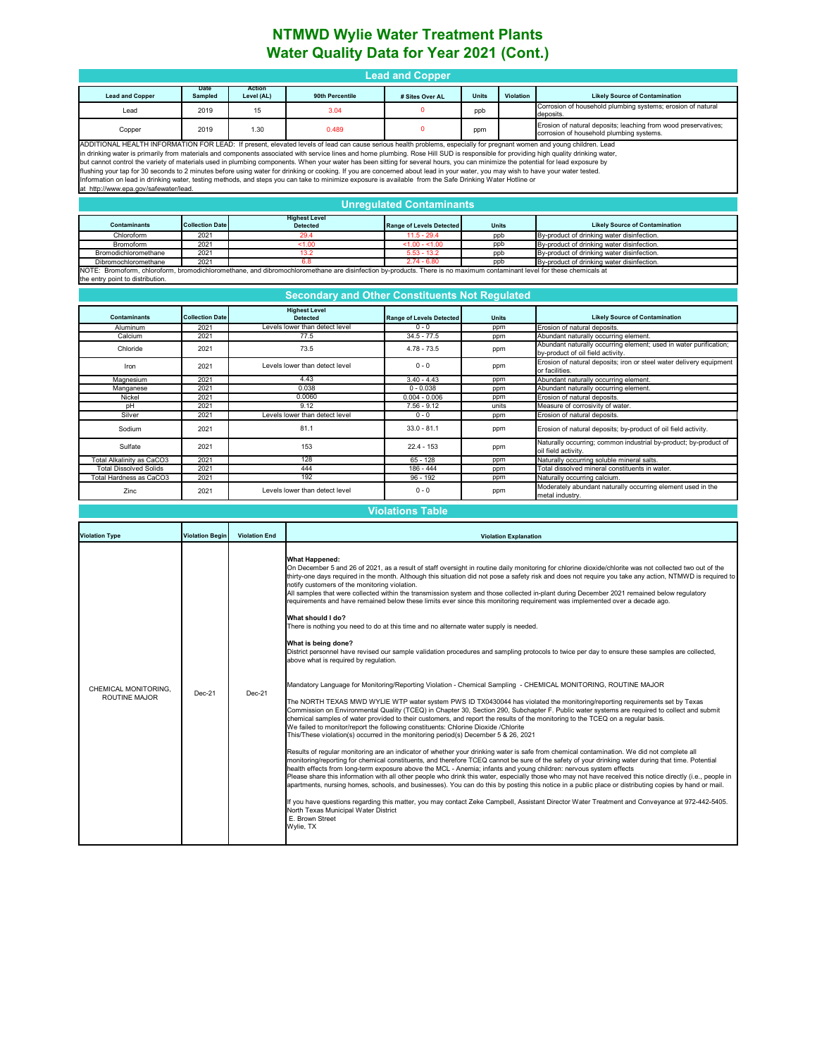### **NTMWD Wylie Water Treatment Plants Water Quality Data for Year 2021 (Cont.)**

| <b>Lead and Copper</b>                                                                                                                                                                         |                                                                                                                                                                                                                                                                                                                                                                                                                                                                                                                                                                                                                                                                                                                                                                                                                                                                                                                                             |                      |                                                                                                                                                                                                                                                                                                                                                                                                                                                                                                                                                                                                                                                                                                                                                                                                                                                                                                                                                                                                                                                                                                                                                                                                                                                                                                                                                                                                                                                                                                                                                                                                                                                                                                                                                                                                                                                                                                                                                                                                                                                                                                                                                                                                                                                                                                                                                                                                                                                                                                                                                                                                                                                                                                                          |                                            |                     |           |                                                                                                                        |  |  |  |  |
|------------------------------------------------------------------------------------------------------------------------------------------------------------------------------------------------|---------------------------------------------------------------------------------------------------------------------------------------------------------------------------------------------------------------------------------------------------------------------------------------------------------------------------------------------------------------------------------------------------------------------------------------------------------------------------------------------------------------------------------------------------------------------------------------------------------------------------------------------------------------------------------------------------------------------------------------------------------------------------------------------------------------------------------------------------------------------------------------------------------------------------------------------|----------------------|--------------------------------------------------------------------------------------------------------------------------------------------------------------------------------------------------------------------------------------------------------------------------------------------------------------------------------------------------------------------------------------------------------------------------------------------------------------------------------------------------------------------------------------------------------------------------------------------------------------------------------------------------------------------------------------------------------------------------------------------------------------------------------------------------------------------------------------------------------------------------------------------------------------------------------------------------------------------------------------------------------------------------------------------------------------------------------------------------------------------------------------------------------------------------------------------------------------------------------------------------------------------------------------------------------------------------------------------------------------------------------------------------------------------------------------------------------------------------------------------------------------------------------------------------------------------------------------------------------------------------------------------------------------------------------------------------------------------------------------------------------------------------------------------------------------------------------------------------------------------------------------------------------------------------------------------------------------------------------------------------------------------------------------------------------------------------------------------------------------------------------------------------------------------------------------------------------------------------------------------------------------------------------------------------------------------------------------------------------------------------------------------------------------------------------------------------------------------------------------------------------------------------------------------------------------------------------------------------------------------------------------------------------------------------------------------------------------------------|--------------------------------------------|---------------------|-----------|------------------------------------------------------------------------------------------------------------------------|--|--|--|--|
| <b>Lead and Copper</b>                                                                                                                                                                         | Date<br>Sampled                                                                                                                                                                                                                                                                                                                                                                                                                                                                                                                                                                                                                                                                                                                                                                                                                                                                                                                             | Action<br>Level (AL) | 90th Percentile                                                                                                                                                                                                                                                                                                                                                                                                                                                                                                                                                                                                                                                                                                                                                                                                                                                                                                                                                                                                                                                                                                                                                                                                                                                                                                                                                                                                                                                                                                                                                                                                                                                                                                                                                                                                                                                                                                                                                                                                                                                                                                                                                                                                                                                                                                                                                                                                                                                                                                                                                                                                                                                                                                          | # Sites Over AL                            | <b>Units</b>        | Violation | <b>Likely Source of Contamination</b>                                                                                  |  |  |  |  |
| Lead                                                                                                                                                                                           | 2019                                                                                                                                                                                                                                                                                                                                                                                                                                                                                                                                                                                                                                                                                                                                                                                                                                                                                                                                        | 15                   | 3.04                                                                                                                                                                                                                                                                                                                                                                                                                                                                                                                                                                                                                                                                                                                                                                                                                                                                                                                                                                                                                                                                                                                                                                                                                                                                                                                                                                                                                                                                                                                                                                                                                                                                                                                                                                                                                                                                                                                                                                                                                                                                                                                                                                                                                                                                                                                                                                                                                                                                                                                                                                                                                                                                                                                     | $\mathbf{0}$                               | ppb                 |           | Corrosion of household plumbing systems; erosion of natural                                                            |  |  |  |  |
| Copper                                                                                                                                                                                         | 2019                                                                                                                                                                                                                                                                                                                                                                                                                                                                                                                                                                                                                                                                                                                                                                                                                                                                                                                                        | 1.30                 | 0.489                                                                                                                                                                                                                                                                                                                                                                                                                                                                                                                                                                                                                                                                                                                                                                                                                                                                                                                                                                                                                                                                                                                                                                                                                                                                                                                                                                                                                                                                                                                                                                                                                                                                                                                                                                                                                                                                                                                                                                                                                                                                                                                                                                                                                                                                                                                                                                                                                                                                                                                                                                                                                                                                                                                    | $\mathbf 0$                                | ppm                 |           | deposits<br>Erosion of natural deposits; leaching from wood preservatives;<br>corrosion of household plumbing systems. |  |  |  |  |
|                                                                                                                                                                                                | ADDITIONAL HEALTH INFORMATION FOR LEAD: If present, elevated levels of lead can cause serious health problems, especially for pregnant women and young children. Lead<br>in drinking water is primarily from materials and components associated with service lines and home plumbing. Rose Hill SUD is responsible for providing high quality drinking water,<br>but cannot control the variety of materials used in plumbing components. When your water has been sitting for several hours, you can minimize the potential for lead exposure by<br>flushing your tap for 30 seconds to 2 minutes before using water for drinking or cooking. If you are concerned about lead in your water, you may wish to have your water tested.<br>Information on lead in drinking water, testing methods, and steps you can take to minimize exposure is available from the Safe Drinking Water Hotline or<br>at http://www.epa.gov/safewater/lead. |                      |                                                                                                                                                                                                                                                                                                                                                                                                                                                                                                                                                                                                                                                                                                                                                                                                                                                                                                                                                                                                                                                                                                                                                                                                                                                                                                                                                                                                                                                                                                                                                                                                                                                                                                                                                                                                                                                                                                                                                                                                                                                                                                                                                                                                                                                                                                                                                                                                                                                                                                                                                                                                                                                                                                                          |                                            |                     |           |                                                                                                                        |  |  |  |  |
|                                                                                                                                                                                                |                                                                                                                                                                                                                                                                                                                                                                                                                                                                                                                                                                                                                                                                                                                                                                                                                                                                                                                                             |                      |                                                                                                                                                                                                                                                                                                                                                                                                                                                                                                                                                                                                                                                                                                                                                                                                                                                                                                                                                                                                                                                                                                                                                                                                                                                                                                                                                                                                                                                                                                                                                                                                                                                                                                                                                                                                                                                                                                                                                                                                                                                                                                                                                                                                                                                                                                                                                                                                                                                                                                                                                                                                                                                                                                                          | <b>Unregulated Contaminants</b>            |                     |           |                                                                                                                        |  |  |  |  |
| Contaminants                                                                                                                                                                                   | <b>Collection Date</b>                                                                                                                                                                                                                                                                                                                                                                                                                                                                                                                                                                                                                                                                                                                                                                                                                                                                                                                      |                      | <b>Highest Level</b><br><b>Detected</b>                                                                                                                                                                                                                                                                                                                                                                                                                                                                                                                                                                                                                                                                                                                                                                                                                                                                                                                                                                                                                                                                                                                                                                                                                                                                                                                                                                                                                                                                                                                                                                                                                                                                                                                                                                                                                                                                                                                                                                                                                                                                                                                                                                                                                                                                                                                                                                                                                                                                                                                                                                                                                                                                                  | <b>Range of Levels Detected</b>            | Units               |           | <b>Likely Source of Contamination</b>                                                                                  |  |  |  |  |
| Chloroform<br>Bromoform                                                                                                                                                                        | 2021<br>2021                                                                                                                                                                                                                                                                                                                                                                                                                                                                                                                                                                                                                                                                                                                                                                                                                                                                                                                                |                      | 29 4<br>1.00                                                                                                                                                                                                                                                                                                                                                                                                                                                                                                                                                                                                                                                                                                                                                                                                                                                                                                                                                                                                                                                                                                                                                                                                                                                                                                                                                                                                                                                                                                                                                                                                                                                                                                                                                                                                                                                                                                                                                                                                                                                                                                                                                                                                                                                                                                                                                                                                                                                                                                                                                                                                                                                                                                             | 11.5 - 29.4<br>$< 1.00 - 1.00$             | ppb<br>ppb          |           | By-product of drinking water disinfection.<br>By-product of drinking water disinfection.                               |  |  |  |  |
| Bromodichloromethane                                                                                                                                                                           | 2021                                                                                                                                                                                                                                                                                                                                                                                                                                                                                                                                                                                                                                                                                                                                                                                                                                                                                                                                        |                      | 13.2                                                                                                                                                                                                                                                                                                                                                                                                                                                                                                                                                                                                                                                                                                                                                                                                                                                                                                                                                                                                                                                                                                                                                                                                                                                                                                                                                                                                                                                                                                                                                                                                                                                                                                                                                                                                                                                                                                                                                                                                                                                                                                                                                                                                                                                                                                                                                                                                                                                                                                                                                                                                                                                                                                                     | $5.53 - 13.2$                              | ppb                 |           | By-product of drinking water disinfection.                                                                             |  |  |  |  |
| Dibromochloromethane<br>NOTE: Bromoform, chloroform, bromodichloromethane, and dibromochloromethane are disinfection by-products. There is no maximum contaminant level for these chemicals at | 2021                                                                                                                                                                                                                                                                                                                                                                                                                                                                                                                                                                                                                                                                                                                                                                                                                                                                                                                                        |                      | 6.8                                                                                                                                                                                                                                                                                                                                                                                                                                                                                                                                                                                                                                                                                                                                                                                                                                                                                                                                                                                                                                                                                                                                                                                                                                                                                                                                                                                                                                                                                                                                                                                                                                                                                                                                                                                                                                                                                                                                                                                                                                                                                                                                                                                                                                                                                                                                                                                                                                                                                                                                                                                                                                                                                                                      | $274 - 680$                                | ppb                 |           | By-product of drinking water disinfection.                                                                             |  |  |  |  |
| the entry point to distribution.                                                                                                                                                               |                                                                                                                                                                                                                                                                                                                                                                                                                                                                                                                                                                                                                                                                                                                                                                                                                                                                                                                                             |                      |                                                                                                                                                                                                                                                                                                                                                                                                                                                                                                                                                                                                                                                                                                                                                                                                                                                                                                                                                                                                                                                                                                                                                                                                                                                                                                                                                                                                                                                                                                                                                                                                                                                                                                                                                                                                                                                                                                                                                                                                                                                                                                                                                                                                                                                                                                                                                                                                                                                                                                                                                                                                                                                                                                                          |                                            |                     |           |                                                                                                                        |  |  |  |  |
|                                                                                                                                                                                                |                                                                                                                                                                                                                                                                                                                                                                                                                                                                                                                                                                                                                                                                                                                                                                                                                                                                                                                                             |                      | <b>Secondary and Other Constituents Not Regulated</b>                                                                                                                                                                                                                                                                                                                                                                                                                                                                                                                                                                                                                                                                                                                                                                                                                                                                                                                                                                                                                                                                                                                                                                                                                                                                                                                                                                                                                                                                                                                                                                                                                                                                                                                                                                                                                                                                                                                                                                                                                                                                                                                                                                                                                                                                                                                                                                                                                                                                                                                                                                                                                                                                    |                                            |                     |           |                                                                                                                        |  |  |  |  |
|                                                                                                                                                                                                |                                                                                                                                                                                                                                                                                                                                                                                                                                                                                                                                                                                                                                                                                                                                                                                                                                                                                                                                             |                      | <b>Highest Level</b>                                                                                                                                                                                                                                                                                                                                                                                                                                                                                                                                                                                                                                                                                                                                                                                                                                                                                                                                                                                                                                                                                                                                                                                                                                                                                                                                                                                                                                                                                                                                                                                                                                                                                                                                                                                                                                                                                                                                                                                                                                                                                                                                                                                                                                                                                                                                                                                                                                                                                                                                                                                                                                                                                                     |                                            |                     |           |                                                                                                                        |  |  |  |  |
| Contaminants<br>Aluminum                                                                                                                                                                       | <b>Collection Date</b><br>2021                                                                                                                                                                                                                                                                                                                                                                                                                                                                                                                                                                                                                                                                                                                                                                                                                                                                                                              |                      | <b>Detected</b><br>Levels lower than detect level                                                                                                                                                                                                                                                                                                                                                                                                                                                                                                                                                                                                                                                                                                                                                                                                                                                                                                                                                                                                                                                                                                                                                                                                                                                                                                                                                                                                                                                                                                                                                                                                                                                                                                                                                                                                                                                                                                                                                                                                                                                                                                                                                                                                                                                                                                                                                                                                                                                                                                                                                                                                                                                                        | <b>Range of Levels Detected</b><br>$0 - 0$ | <b>Units</b><br>ppm |           | <b>Likely Source of Contamination</b><br>Erosion of natural deposits.                                                  |  |  |  |  |
| Calcium                                                                                                                                                                                        | 2021                                                                                                                                                                                                                                                                                                                                                                                                                                                                                                                                                                                                                                                                                                                                                                                                                                                                                                                                        |                      | 77.5                                                                                                                                                                                                                                                                                                                                                                                                                                                                                                                                                                                                                                                                                                                                                                                                                                                                                                                                                                                                                                                                                                                                                                                                                                                                                                                                                                                                                                                                                                                                                                                                                                                                                                                                                                                                                                                                                                                                                                                                                                                                                                                                                                                                                                                                                                                                                                                                                                                                                                                                                                                                                                                                                                                     | $34.5 - 77.5$                              | ppm                 |           | Abundant naturally occurring element.                                                                                  |  |  |  |  |
| Chloride                                                                                                                                                                                       | 2021                                                                                                                                                                                                                                                                                                                                                                                                                                                                                                                                                                                                                                                                                                                                                                                                                                                                                                                                        |                      | 73.5                                                                                                                                                                                                                                                                                                                                                                                                                                                                                                                                                                                                                                                                                                                                                                                                                                                                                                                                                                                                                                                                                                                                                                                                                                                                                                                                                                                                                                                                                                                                                                                                                                                                                                                                                                                                                                                                                                                                                                                                                                                                                                                                                                                                                                                                                                                                                                                                                                                                                                                                                                                                                                                                                                                     | $4.78 - 73.5$                              | ppm                 |           | Abundant naturally occurring element; used in water purification;<br>by-product of oil field activity.                 |  |  |  |  |
| Iron                                                                                                                                                                                           | 2021                                                                                                                                                                                                                                                                                                                                                                                                                                                                                                                                                                                                                                                                                                                                                                                                                                                                                                                                        |                      | Levels lower than detect level                                                                                                                                                                                                                                                                                                                                                                                                                                                                                                                                                                                                                                                                                                                                                                                                                                                                                                                                                                                                                                                                                                                                                                                                                                                                                                                                                                                                                                                                                                                                                                                                                                                                                                                                                                                                                                                                                                                                                                                                                                                                                                                                                                                                                                                                                                                                                                                                                                                                                                                                                                                                                                                                                           | $0 - 0$                                    | ppm                 |           | Erosion of natural deposits; iron or steel water delivery equipment<br>or facilities.                                  |  |  |  |  |
| Magnesium                                                                                                                                                                                      | 2021                                                                                                                                                                                                                                                                                                                                                                                                                                                                                                                                                                                                                                                                                                                                                                                                                                                                                                                                        |                      | 4.43                                                                                                                                                                                                                                                                                                                                                                                                                                                                                                                                                                                                                                                                                                                                                                                                                                                                                                                                                                                                                                                                                                                                                                                                                                                                                                                                                                                                                                                                                                                                                                                                                                                                                                                                                                                                                                                                                                                                                                                                                                                                                                                                                                                                                                                                                                                                                                                                                                                                                                                                                                                                                                                                                                                     | $3.40 - 4.43$                              | ppm                 |           | Abundant naturally occurring element.                                                                                  |  |  |  |  |
| Manganese<br>Nickel                                                                                                                                                                            | 2021<br>2021                                                                                                                                                                                                                                                                                                                                                                                                                                                                                                                                                                                                                                                                                                                                                                                                                                                                                                                                |                      | 0.038<br>0.0060                                                                                                                                                                                                                                                                                                                                                                                                                                                                                                                                                                                                                                                                                                                                                                                                                                                                                                                                                                                                                                                                                                                                                                                                                                                                                                                                                                                                                                                                                                                                                                                                                                                                                                                                                                                                                                                                                                                                                                                                                                                                                                                                                                                                                                                                                                                                                                                                                                                                                                                                                                                                                                                                                                          | $0 - 0.038$<br>$0.004 - 0.006$             | ppm<br>ppm          |           | Abundant naturally occurring element.<br>Erosion of natural deposits.                                                  |  |  |  |  |
| pH                                                                                                                                                                                             | 2021                                                                                                                                                                                                                                                                                                                                                                                                                                                                                                                                                                                                                                                                                                                                                                                                                                                                                                                                        |                      | 9.12                                                                                                                                                                                                                                                                                                                                                                                                                                                                                                                                                                                                                                                                                                                                                                                                                                                                                                                                                                                                                                                                                                                                                                                                                                                                                                                                                                                                                                                                                                                                                                                                                                                                                                                                                                                                                                                                                                                                                                                                                                                                                                                                                                                                                                                                                                                                                                                                                                                                                                                                                                                                                                                                                                                     | $7.56 - 9.12$                              | units               |           | Measure of corrosivity of water.                                                                                       |  |  |  |  |
| Silver                                                                                                                                                                                         | 2021                                                                                                                                                                                                                                                                                                                                                                                                                                                                                                                                                                                                                                                                                                                                                                                                                                                                                                                                        |                      | Levels lower than detect level                                                                                                                                                                                                                                                                                                                                                                                                                                                                                                                                                                                                                                                                                                                                                                                                                                                                                                                                                                                                                                                                                                                                                                                                                                                                                                                                                                                                                                                                                                                                                                                                                                                                                                                                                                                                                                                                                                                                                                                                                                                                                                                                                                                                                                                                                                                                                                                                                                                                                                                                                                                                                                                                                           | $0 - 0$                                    | ppm                 |           | Erosion of natural deposits.                                                                                           |  |  |  |  |
| Sodium                                                                                                                                                                                         | 2021                                                                                                                                                                                                                                                                                                                                                                                                                                                                                                                                                                                                                                                                                                                                                                                                                                                                                                                                        |                      | 81.1                                                                                                                                                                                                                                                                                                                                                                                                                                                                                                                                                                                                                                                                                                                                                                                                                                                                                                                                                                                                                                                                                                                                                                                                                                                                                                                                                                                                                                                                                                                                                                                                                                                                                                                                                                                                                                                                                                                                                                                                                                                                                                                                                                                                                                                                                                                                                                                                                                                                                                                                                                                                                                                                                                                     |                                            | ppm                 |           | Erosion of natural deposits; by-product of oil field activity.                                                         |  |  |  |  |
| Sulfate                                                                                                                                                                                        | 2021                                                                                                                                                                                                                                                                                                                                                                                                                                                                                                                                                                                                                                                                                                                                                                                                                                                                                                                                        | 153                  |                                                                                                                                                                                                                                                                                                                                                                                                                                                                                                                                                                                                                                                                                                                                                                                                                                                                                                                                                                                                                                                                                                                                                                                                                                                                                                                                                                                                                                                                                                                                                                                                                                                                                                                                                                                                                                                                                                                                                                                                                                                                                                                                                                                                                                                                                                                                                                                                                                                                                                                                                                                                                                                                                                                          | $22.4 - 153$                               | ppm                 |           | Naturally occurring; common industrial by-product; by-product of<br>oil field activity.                                |  |  |  |  |
| Total Alkalinity as CaCO3                                                                                                                                                                      | 2021                                                                                                                                                                                                                                                                                                                                                                                                                                                                                                                                                                                                                                                                                                                                                                                                                                                                                                                                        |                      | 128                                                                                                                                                                                                                                                                                                                                                                                                                                                                                                                                                                                                                                                                                                                                                                                                                                                                                                                                                                                                                                                                                                                                                                                                                                                                                                                                                                                                                                                                                                                                                                                                                                                                                                                                                                                                                                                                                                                                                                                                                                                                                                                                                                                                                                                                                                                                                                                                                                                                                                                                                                                                                                                                                                                      | $65 - 128$                                 | ppm                 |           | Naturally occurring soluble mineral salts.                                                                             |  |  |  |  |
| <b>Total Dissolved Solids</b><br>Total Hardness as CaCO3                                                                                                                                       | 2021<br>2021                                                                                                                                                                                                                                                                                                                                                                                                                                                                                                                                                                                                                                                                                                                                                                                                                                                                                                                                |                      | 444<br>192                                                                                                                                                                                                                                                                                                                                                                                                                                                                                                                                                                                                                                                                                                                                                                                                                                                                                                                                                                                                                                                                                                                                                                                                                                                                                                                                                                                                                                                                                                                                                                                                                                                                                                                                                                                                                                                                                                                                                                                                                                                                                                                                                                                                                                                                                                                                                                                                                                                                                                                                                                                                                                                                                                               | 186 - 444<br>$96 - 192$                    | ppm<br>ppm          |           | Total dissolved mineral constituents in water.<br>Naturally occurring calcium.                                         |  |  |  |  |
| Zinc                                                                                                                                                                                           | 2021                                                                                                                                                                                                                                                                                                                                                                                                                                                                                                                                                                                                                                                                                                                                                                                                                                                                                                                                        |                      | Levels lower than detect level                                                                                                                                                                                                                                                                                                                                                                                                                                                                                                                                                                                                                                                                                                                                                                                                                                                                                                                                                                                                                                                                                                                                                                                                                                                                                                                                                                                                                                                                                                                                                                                                                                                                                                                                                                                                                                                                                                                                                                                                                                                                                                                                                                                                                                                                                                                                                                                                                                                                                                                                                                                                                                                                                           | $0 - 0$                                    | ppm                 |           | Moderately abundant naturally occurring element used in the<br>metal industry.                                         |  |  |  |  |
|                                                                                                                                                                                                |                                                                                                                                                                                                                                                                                                                                                                                                                                                                                                                                                                                                                                                                                                                                                                                                                                                                                                                                             |                      |                                                                                                                                                                                                                                                                                                                                                                                                                                                                                                                                                                                                                                                                                                                                                                                                                                                                                                                                                                                                                                                                                                                                                                                                                                                                                                                                                                                                                                                                                                                                                                                                                                                                                                                                                                                                                                                                                                                                                                                                                                                                                                                                                                                                                                                                                                                                                                                                                                                                                                                                                                                                                                                                                                                          | <b>Violations Table</b>                    |                     |           |                                                                                                                        |  |  |  |  |
| <b>Violation Type</b>                                                                                                                                                                          | <b>Violation Begin</b>                                                                                                                                                                                                                                                                                                                                                                                                                                                                                                                                                                                                                                                                                                                                                                                                                                                                                                                      | <b>Violation End</b> |                                                                                                                                                                                                                                                                                                                                                                                                                                                                                                                                                                                                                                                                                                                                                                                                                                                                                                                                                                                                                                                                                                                                                                                                                                                                                                                                                                                                                                                                                                                                                                                                                                                                                                                                                                                                                                                                                                                                                                                                                                                                                                                                                                                                                                                                                                                                                                                                                                                                                                                                                                                                                                                                                                                          |                                            |                     |           |                                                                                                                        |  |  |  |  |
| CHEMICAL MONITORING,<br>ROUTINE MAJOR                                                                                                                                                          | Dec-21                                                                                                                                                                                                                                                                                                                                                                                                                                                                                                                                                                                                                                                                                                                                                                                                                                                                                                                                      | Dec-21               | <b>Violation Explanation</b><br><b>What Happened:</b><br>On December 5 and 26 of 2021, as a result of staff oversight in routine daily monitoring for chlorine dioxide/chlorite was not collected two out of the<br>thirty-one days required in the month. Although this situation did not pose a safety risk and does not require you take any action, NTMWD is required to<br>notify customers of the monitoring violation.<br>All samples that were collected within the transmission system and those collected in-plant during December 2021 remained below regulatory<br>requirements and have remained below these limits ever since this monitoring requirement was implemented over a decade ago.<br>What should I do?<br>There is nothing you need to do at this time and no alternate water supply is needed.<br>What is being done?<br>District personnel have revised our sample validation procedures and sampling protocols to twice per day to ensure these samples are collected,<br>above what is required by regulation.<br>Mandatory Language for Monitoring/Reporting Violation - Chemical Sampling - CHEMICAL MONITORING, ROUTINE MAJOR<br>The NORTH TEXAS MWD WYLIE WTP water system PWS ID TX0430044 has violated the monitoring/reporting requirements set by Texas<br>Commission on Environmental Quality (TCEQ) in Chapter 30, Section 290, Subchapter F. Public water systems are required to collect and submit<br>chemical samples of water provided to their customers, and report the results of the monitoring to the TCEQ on a regular basis.<br>We failed to monitor/report the following constituents: Chlorine Dioxide /Chlorite<br>This/These violation(s) occurred in the monitoring period(s) December 5 & 26, 2021<br>Results of regular monitoring are an indicator of whether your drinking water is safe from chemical contamination. We did not complete all<br>monitoring/reporting for chemical constituents, and therefore TCEQ cannot be sure of the safety of your drinking water during that time. Potential<br>health effects from long-term exposure above the MCL - Anemia; infants and young children: nervous system effects<br>Please share this information with all other people who drink this water, especially those who may not have received this notice directly (i.e., people in<br>apartments, nursing homes, schools, and businesses). You can do this by posting this notice in a public place or distributing copies by hand or mail.<br>If you have questions regarding this matter, you may contact Zeke Campbell, Assistant Director Water Treatment and Conveyance at 972-442-5405.<br>North Texas Municipal Water District<br>E. Brown Street |                                            |                     |           |                                                                                                                        |  |  |  |  |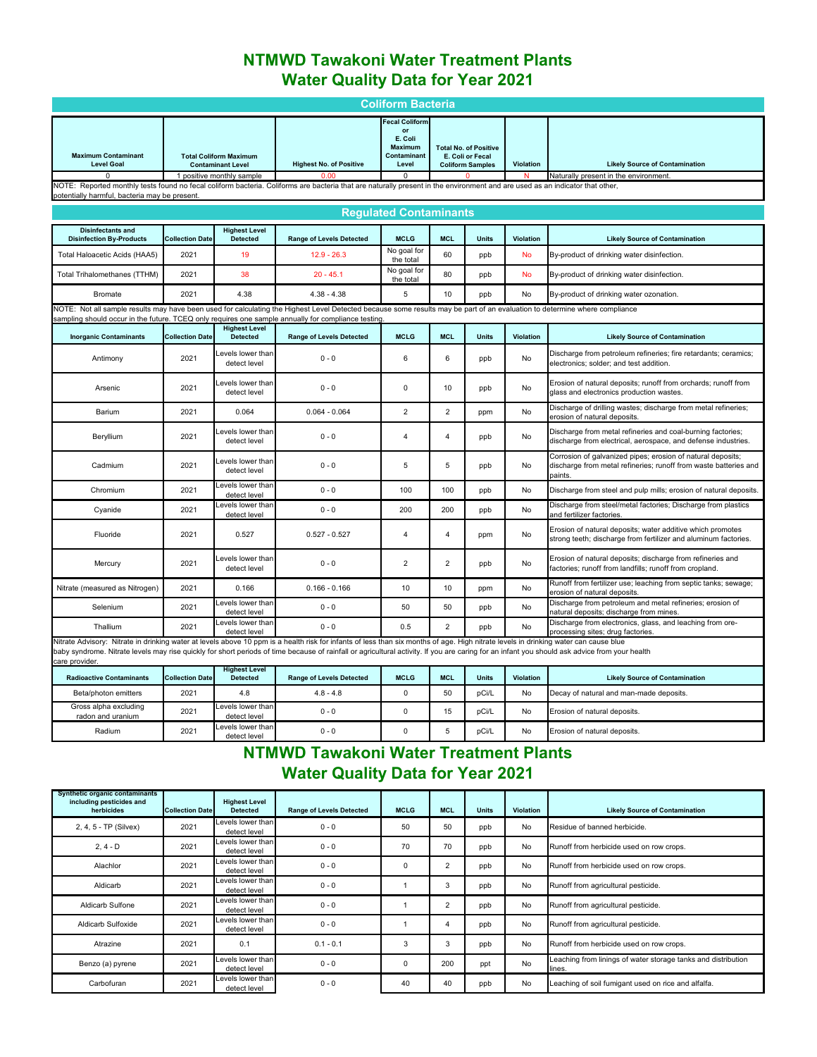# **NTMWD Tawakoni Water Treatment Plants Water Quality Data for Year 2021**

|                                                                                                                                                                                                                                                                                                                                                                                                        |                                                                                                                                                                                                                               |                                                           |                                 | <b>Coliform Bacteria</b>                                                         |                |                                                                             |           |                                                                                                                                            |  |  |  |
|--------------------------------------------------------------------------------------------------------------------------------------------------------------------------------------------------------------------------------------------------------------------------------------------------------------------------------------------------------------------------------------------------------|-------------------------------------------------------------------------------------------------------------------------------------------------------------------------------------------------------------------------------|-----------------------------------------------------------|---------------------------------|----------------------------------------------------------------------------------|----------------|-----------------------------------------------------------------------------|-----------|--------------------------------------------------------------------------------------------------------------------------------------------|--|--|--|
| <b>Maximum Contaminant</b><br><b>Level Goal</b>                                                                                                                                                                                                                                                                                                                                                        |                                                                                                                                                                                                                               | <b>Total Coliform Maximum</b><br><b>Contaminant Level</b> | <b>Highest No. of Positive</b>  | <b>Fecal Coliform</b><br>or<br>E. Coli<br><b>Maximum</b><br>Contaminant<br>Level |                | <b>Total No. of Positive</b><br>E. Coli or Fecal<br><b>Coliform Samples</b> | Violation | <b>Likely Source of Contamination</b>                                                                                                      |  |  |  |
| $\Omega$                                                                                                                                                                                                                                                                                                                                                                                               |                                                                                                                                                                                                                               | 1 positive monthly sample                                 | 0.00                            | $\mathbf 0$                                                                      |                | n                                                                           | N         | Naturally present in the environment.                                                                                                      |  |  |  |
|                                                                                                                                                                                                                                                                                                                                                                                                        | NOTE: Reported monthly tests found no fecal coliform bacteria. Coliforms are bacteria that are naturally present in the environment and are used as an indicator that other,<br>potentially harmful, bacteria may be present. |                                                           |                                 |                                                                                  |                |                                                                             |           |                                                                                                                                            |  |  |  |
|                                                                                                                                                                                                                                                                                                                                                                                                        |                                                                                                                                                                                                                               |                                                           |                                 |                                                                                  |                |                                                                             |           |                                                                                                                                            |  |  |  |
|                                                                                                                                                                                                                                                                                                                                                                                                        | <b>Regulated Contaminants</b>                                                                                                                                                                                                 |                                                           |                                 |                                                                                  |                |                                                                             |           |                                                                                                                                            |  |  |  |
| <b>Disinfectants and</b><br><b>Disinfection By-Products</b>                                                                                                                                                                                                                                                                                                                                            | <b>Collection Date</b>                                                                                                                                                                                                        | <b>Highest Level</b><br><b>Detected</b>                   | <b>Range of Levels Detected</b> | <b>MCLG</b>                                                                      | <b>MCL</b>     | <b>Units</b>                                                                | Violation | <b>Likely Source of Contamination</b>                                                                                                      |  |  |  |
| Total Haloacetic Acids (HAA5)                                                                                                                                                                                                                                                                                                                                                                          | 2021                                                                                                                                                                                                                          | 19                                                        | $12.9 - 26.3$                   | No goal for<br>the total                                                         | 60             | ppb                                                                         | <b>No</b> | By-product of drinking water disinfection.                                                                                                 |  |  |  |
| Total Trihalomethanes (TTHM)                                                                                                                                                                                                                                                                                                                                                                           | 2021                                                                                                                                                                                                                          | 38                                                        | $20 - 45.1$                     | No goal for<br>the total                                                         | 80             | ppb                                                                         | <b>No</b> | By-product of drinking water disinfection.                                                                                                 |  |  |  |
| <b>Bromate</b>                                                                                                                                                                                                                                                                                                                                                                                         | 2021                                                                                                                                                                                                                          | 4.38                                                      | $4.38 - 4.38$                   | 5                                                                                | 10             | ppb                                                                         | No        | By-product of drinking water ozonation.                                                                                                    |  |  |  |
| NOTE: Not all sample results may have been used for calculating the Highest Level Detected because some results may be part of an evaluation to determine where compliance<br>sampling should occur in the future. TCEQ only requires one sample annually for compliance testing                                                                                                                       |                                                                                                                                                                                                                               |                                                           |                                 |                                                                                  |                |                                                                             |           |                                                                                                                                            |  |  |  |
| <b>Inorganic Contaminants</b>                                                                                                                                                                                                                                                                                                                                                                          | <b>Collection Date</b>                                                                                                                                                                                                        | <b>Highest Level</b><br><b>Detected</b>                   | <b>Range of Levels Detected</b> | <b>MCLG</b>                                                                      | <b>MCL</b>     | <b>Units</b>                                                                | Violation | <b>Likely Source of Contamination</b>                                                                                                      |  |  |  |
| Antimony                                                                                                                                                                                                                                                                                                                                                                                               | 2021                                                                                                                                                                                                                          | evels lower than<br>detect level                          | $0 - 0$                         | 6                                                                                | 6              | ppb                                                                         | No        | Discharge from petroleum refineries; fire retardants; ceramics;<br>electronics; solder; and test addition.                                 |  |  |  |
| Arsenic                                                                                                                                                                                                                                                                                                                                                                                                | 2021                                                                                                                                                                                                                          | evels lower than<br>detect level                          | $0 - 0$                         | 0                                                                                | 10             | ppb                                                                         | No        | Erosion of natural deposits; runoff from orchards; runoff from<br>glass and electronics production wastes.                                 |  |  |  |
| Barium                                                                                                                                                                                                                                                                                                                                                                                                 | 2021                                                                                                                                                                                                                          | 0.064                                                     | $0.064 - 0.064$                 | $\overline{2}$                                                                   | $\overline{2}$ | ppm                                                                         | No        | Discharge of drilling wastes; discharge from metal refineries;<br>erosion of natural deposits.                                             |  |  |  |
| Beryllium                                                                                                                                                                                                                                                                                                                                                                                              | 2021                                                                                                                                                                                                                          | evels lower than<br>detect level                          | $0 - 0$                         | $\overline{4}$                                                                   | $\overline{4}$ | ppb                                                                         | No        | Discharge from metal refineries and coal-burning factories;<br>discharge from electrical, aerospace, and defense industries.               |  |  |  |
| Cadmium                                                                                                                                                                                                                                                                                                                                                                                                | 2021                                                                                                                                                                                                                          | evels lower than.<br>detect level                         | $0 - 0$                         | 5                                                                                | 5              | ppb                                                                         | No        | Corrosion of galvanized pipes; erosion of natural deposits;<br>discharge from metal refineries; runoff from waste batteries and<br>paints. |  |  |  |
| Chromium                                                                                                                                                                                                                                                                                                                                                                                               | 2021                                                                                                                                                                                                                          | evels lower than<br>detect level                          | $0 - 0$                         | 100                                                                              | 100            | ppb                                                                         | No        | Discharge from steel and pulp mills; erosion of natural deposits.                                                                          |  |  |  |
| Cyanide                                                                                                                                                                                                                                                                                                                                                                                                | 2021                                                                                                                                                                                                                          | evels lower than<br>detect level                          | $0 - 0$                         | 200                                                                              | 200            | ppb                                                                         | No        | Discharge from steel/metal factories; Discharge from plastics<br>and fertilizer factories.                                                 |  |  |  |
| Fluoride                                                                                                                                                                                                                                                                                                                                                                                               | 2021                                                                                                                                                                                                                          | 0.527                                                     | $0.527 - 0.527$                 | 4                                                                                | $\overline{4}$ | ppm                                                                         | No        | Erosion of natural deposits; water additive which promotes<br>strong teeth; discharge from fertilizer and aluminum factories.              |  |  |  |
| Mercury                                                                                                                                                                                                                                                                                                                                                                                                | 2021                                                                                                                                                                                                                          | evels lower than<br>detect level                          | $0 - 0$                         | $\overline{2}$                                                                   | $\overline{2}$ | ppb                                                                         | No        | Erosion of natural deposits; discharge from refineries and<br>factories; runoff from landfills; runoff from cropland.                      |  |  |  |
| Nitrate (measured as Nitrogen)                                                                                                                                                                                                                                                                                                                                                                         | 2021                                                                                                                                                                                                                          | 0.166                                                     | $0.166 - 0.166$                 | 10                                                                               | 10             | ppm                                                                         | No        | Runoff from fertilizer use; leaching from septic tanks; sewage;<br>erosion of natural deposits.                                            |  |  |  |
| Selenium                                                                                                                                                                                                                                                                                                                                                                                               | 2021                                                                                                                                                                                                                          | evels lower than<br>detect level                          | $0 - 0$                         | 50                                                                               | 50             | ppb                                                                         | <b>No</b> | Discharge from petroleum and metal refineries; erosion of<br>natural deposits; discharge from mines.                                       |  |  |  |
| Thallium                                                                                                                                                                                                                                                                                                                                                                                               | 2021                                                                                                                                                                                                                          | evels lower than<br>detect level                          | $0 - 0$                         | 0.5                                                                              | $\overline{2}$ | ppb                                                                         | No        | Discharge from electronics, glass, and leaching from ore-<br>processing sites; drug factories.                                             |  |  |  |
| Nitrate Advisory: Nitrate in drinking water at levels above 10 ppm is a health risk for infants of less than six months of age. High nitrate levels in drinking water can cause blue<br>baby syndrome. Nitrate levels may rise quickly for short periods of time because of rainfall or agricultural activity. If you are caring for an infant you should ask advice from your health<br>care provider |                                                                                                                                                                                                                               |                                                           |                                 |                                                                                  |                |                                                                             |           |                                                                                                                                            |  |  |  |

| <b>DOM: O PIOTINOI</b>                     |                        |                                         |                                 |             |            |              |           |                                         |  |
|--------------------------------------------|------------------------|-----------------------------------------|---------------------------------|-------------|------------|--------------|-----------|-----------------------------------------|--|
| <b>Radioactive Contaminants</b>            | <b>Collection Date</b> | <b>Highest Level</b><br><b>Detected</b> | <b>Range of Levels Detected</b> | <b>MCLG</b> | <b>MCL</b> | <b>Units</b> | Violation | <b>Likely Source of Contamination</b>   |  |
| Beta/photon emitters                       | 2021                   | 4.8                                     | $4.8 - 4.8$                     | 0           | 50         | pCi/L        | No        | Decav of natural and man-made deposits. |  |
| Gross alpha excluding<br>radon and uranium | 2021                   | Levels lower than<br>detect level       | $0 - 0$                         |             |            | pCi/L        | No        | Erosion of natural deposits.            |  |
| Radium                                     | 2021                   | Levels lower than<br>detect level       | $0 - 0$                         | 0           |            | pCi/L        | No        | Erosion of natural deposits.            |  |

# **NTMWD Tawakoni Water Treatment Plants Water Quality Data for Year 2021**

| <b>Synthetic organic contaminants</b><br>including pesticides and<br>herbicides | <b>Collection Date</b> | <b>Highest Level</b><br><b>Detected</b> | <b>Range of Levels Detected</b> | <b>MCLG</b> | <b>MCL</b>               | <b>Units</b> | <b>Violation</b> | <b>Likely Source of Contamination</b>                                   |
|---------------------------------------------------------------------------------|------------------------|-----------------------------------------|---------------------------------|-------------|--------------------------|--------------|------------------|-------------------------------------------------------------------------|
| 2, 4, 5 - TP (Silvex)                                                           | 2021                   | Levels lower than<br>detect level       | $0 - 0$                         | 50          | 50                       | ppb          | No               | Residue of banned herbicide.                                            |
| $2, 4 - D$                                                                      | 2021                   | Levels lower than<br>detect level       | $0 - 0$                         | 70          | 70                       | ppb          | No               | Runoff from herbicide used on row crops.                                |
| Alachlor                                                                        | 2021                   | Levels lower than<br>detect level       | $0 - 0$                         | $\Omega$    | $\overline{\phantom{a}}$ | ppb          | No               | Runoff from herbicide used on row crops.                                |
| Aldicarb                                                                        | 2021                   | Levels lower than<br>detect level       | $0 - 0$                         |             | 3                        | ppb          | No               | Runoff from agricultural pesticide.                                     |
| <b>Aldicarb Sulfone</b>                                                         | 2021                   | Levels lower than<br>detect level       | $0 - 0$                         |             | $\overline{\phantom{a}}$ | ppb          | No               | Runoff from agricultural pesticide.                                     |
| Aldicarb Sulfoxide                                                              | 2021                   | Levels lower than<br>detect level       | $0 - 0$                         |             | 4                        | ppb          | No               | Runoff from agricultural pesticide.                                     |
| Atrazine                                                                        | 2021                   | 0.1                                     | $0.1 - 0.1$                     | 3           | 3                        | ppb          | No               | Runoff from herbicide used on row crops.                                |
| Benzo (a) pyrene                                                                | 2021                   | Levels lower than<br>detect level       | $0 - 0$                         | $\Omega$    | 200                      | ppt          | <b>No</b>        | Leaching from linings of water storage tanks and distribution<br>lines. |
| Carbofuran                                                                      | 2021                   | Levels lower than<br>detect level       | $0 - 0$                         | 40          | 40                       | ppb          | No               | Leaching of soil fumigant used on rice and alfalfa.                     |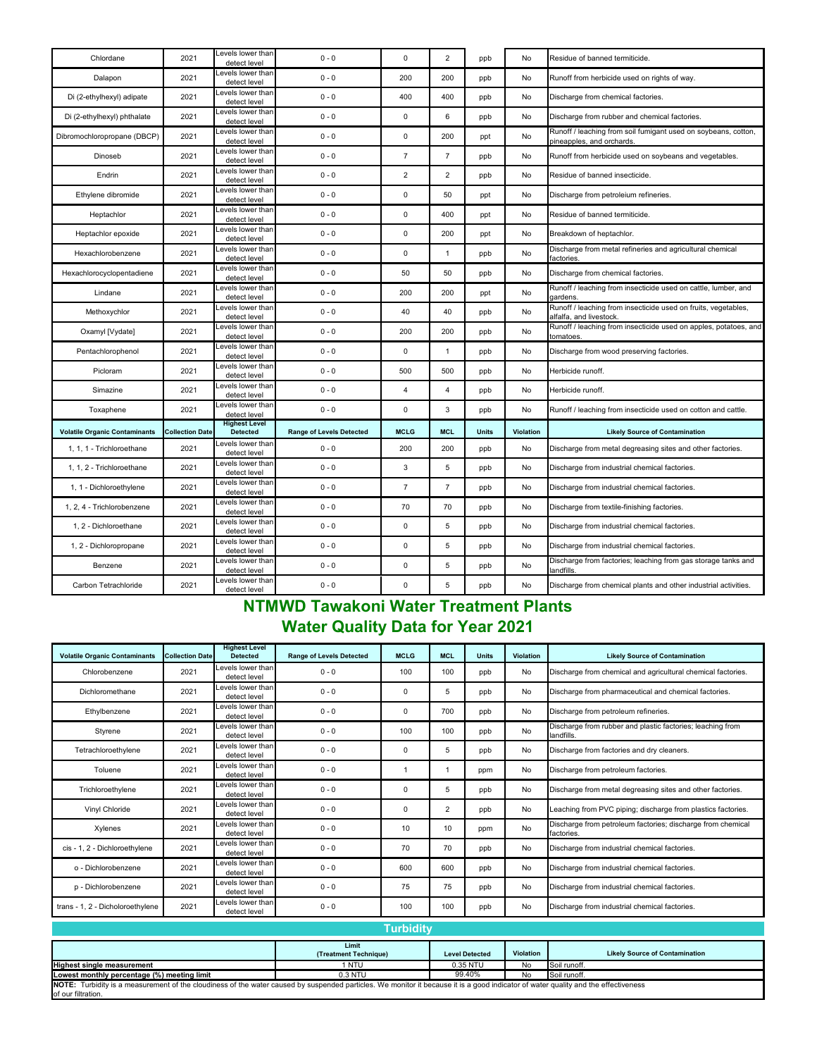| Chlordane                            | 2021                   | evels lower than<br>detect level        | $0 - 0$                         | $\mathbf 0$    | $\overline{2}$ | ppb          | No        | Residue of banned termiticide.                                                              |
|--------------------------------------|------------------------|-----------------------------------------|---------------------------------|----------------|----------------|--------------|-----------|---------------------------------------------------------------------------------------------|
| Dalapon                              | 2021                   | evels lower than<br>detect level        | $0 - 0$                         | 200            | 200            | ppb          | No        | Runoff from herbicide used on rights of way.                                                |
| Di (2-ethylhexyl) adipate            | 2021                   | evels lower than<br>detect level        | $0 - 0$                         | 400            | 400            | ppb          | No        | Discharge from chemical factories.                                                          |
| Di (2-ethylhexyl) phthalate          | 2021                   | evels lower than<br>detect level        | $0 - 0$                         | $\mathbf 0$    | 6              | ppb          | No        | Discharge from rubber and chemical factories.                                               |
| Dibromochloropropane (DBCP)          | 2021                   | evels lower than<br>detect level        | $0 - 0$                         | $\pmb{0}$      | 200            | ppt          | No        | Runoff / leaching from soil fumigant used on soybeans, cotton,<br>pineapples, and orchards. |
| Dinoseb                              | 2021                   | evels lower than<br>detect level        | $0 - 0$                         | $\overline{7}$ | $\overline{7}$ | ppb          | No        | Runoff from herbicide used on soybeans and vegetables.                                      |
| Endrin                               | 2021                   | evels lower than<br>detect level        | $0 - 0$                         | $\overline{2}$ | $\overline{2}$ | ppb          | No        | Residue of banned insecticide.                                                              |
| Ethylene dibromide                   | 2021                   | evels lower than<br>detect level        | $0 - 0$                         | $\mathbf 0$    | 50             | ppt          | No        | Discharge from petroleium refineries.                                                       |
| Heptachlor                           | 2021                   | evels lower than<br>detect level        | $0 - 0$                         | $\mathbf 0$    | 400            | ppt          | No        | Residue of banned termiticide.                                                              |
| Heptachlor epoxide                   | 2021                   | evels lower than<br>detect level        | $0 - 0$                         | $\mathbf 0$    | 200            | ppt          | No        | Breakdown of heptachlor.                                                                    |
| Hexachlorobenzene                    | 2021                   | evels lower than<br>detect level        | $0 - 0$                         | $\mathbf 0$    | $\mathbf{1}$   | ppb          | No        | Discharge from metal refineries and agricultural chemical<br>factories.                     |
| Hexachlorocyclopentadiene            | 2021                   | evels lower than<br>detect level        | $0 - 0$                         | 50             | 50             | ppb          | No        | Discharge from chemical factories.                                                          |
| Lindane                              | 2021                   | evels lower than<br>detect level        | $0 - 0$                         | 200            | 200            | ppt          | No        | Runoff / leaching from insecticide used on cattle, lumber, and<br>gardens                   |
| Methoxychlor                         | 2021                   | evels lower than<br>detect level        | $0 - 0$                         | 40             | 40             | ppb          | No        | Runoff / leaching from insecticide used on fruits, vegetables,<br>alfalfa, and livestock.   |
| Oxamyl [Vydate]                      | 2021                   | evels lower than<br>detect level        | $0 - 0$                         | 200            | 200            | ppb          | No        | Runoff / leaching from insecticide used on apples, potatoes, and<br>tomatoes.               |
| Pentachlorophenol                    | 2021                   | evels lower than<br>detect level        | $0 - 0$                         | $\mathbf 0$    | $\mathbf{1}$   | ppb          | No        | Discharge from wood preserving factories.                                                   |
| Picloram                             | 2021                   | evels lower than<br>detect level        | $0 - 0$                         | 500            | 500            | ppb          | No        | Herbicide runoff.                                                                           |
| Simazine                             | 2021                   | evels lower than<br>detect level        | $0 - 0$                         | $\overline{4}$ | $\overline{4}$ | ppb          | No        | Herbicide runoff.                                                                           |
| Toxaphene                            | 2021                   | evels lower than<br>detect level        | $0 - 0$                         | $\mathbf 0$    | 3              | ppb          | No        | Runoff / leaching from insecticide used on cotton and cattle.                               |
| <b>Volatile Organic Contaminants</b> | <b>Collection Date</b> | <b>Highest Level</b><br><b>Detected</b> | <b>Range of Levels Detected</b> | <b>MCLG</b>    | <b>MCL</b>     | <b>Units</b> | Violation | <b>Likely Source of Contamination</b>                                                       |
| 1, 1, 1 - Trichloroethane            | 2021                   | evels lower than<br>detect level        | $0 - 0$                         | 200            | 200            | ppb          | No        | Discharge from metal degreasing sites and other factories.                                  |
| 1, 1, 2 - Trichloroethane            | 2021                   | evels lower than<br>detect level        | $0 - 0$                         | 3              | 5              | ppb          | No        | Discharge from industrial chemical factories.                                               |
| 1, 1 - Dichloroethylene              | 2021                   | evels lower than<br>detect level        | $0 - 0$                         | $\overline{7}$ | $\overline{7}$ | ppb          | No        | Discharge from industrial chemical factories.                                               |
| 1, 2, 4 - Trichlorobenzene           | 2021                   | evels lower than<br>detect level        | $0 - 0$                         | 70             | 70             | ppb          | No        | Discharge from textile-finishing factories.                                                 |
| 1, 2 - Dichloroethane                | 2021                   | evels lower than<br>detect level        | $0 - 0$                         | $\mathbf{0}$   | $\,$ 5 $\,$    | ppb          | No        | Discharge from industrial chemical factories.                                               |
| 1, 2 - Dichloropropane               | 2021                   | evels lower than<br>detect level        | $0 - 0$                         | $\mathbf 0$    | 5              | ppb          | No        | Discharge from industrial chemical factories.                                               |
| Benzene                              | 2021                   | evels lower than<br>detect level        | $0 - 0$                         | $\mathbf 0$    | 5              | ppb          | <b>No</b> | Discharge from factories; leaching from gas storage tanks and<br>andfills.                  |
| Carbon Tetrachloride                 | 2021                   | evels lower than<br>detect level        | $0 - 0$                         | 0              | 5              | ppb          | No        | Discharge from chemical plants and other industrial activities.                             |

# **NTMWD Tawakoni Water Treatment Plants Water Quality Data for Year 2021**

| <b>Volatile Organic Contaminants</b> | <b>Collection Date</b> | <b>Highest Level</b><br><b>Detected</b> | <b>Range of Levels Detected</b> | <b>MCLG</b> | <b>MCL</b> | <b>Units</b> | <b>Violation</b> | <b>Likely Source of Contamination</b>                                     |
|--------------------------------------|------------------------|-----------------------------------------|---------------------------------|-------------|------------|--------------|------------------|---------------------------------------------------------------------------|
| Chlorobenzene                        | 2021                   | Levels lower than<br>detect level       | $0 - 0$                         | 100         | 100        | ppb          | No               | Discharge from chemical and agricultural chemical factories.              |
| Dichloromethane                      | 2021                   | Levels lower than<br>detect level       | $0 - 0$                         | 0           | 5          | ppb          | No               | Discharge from pharmaceutical and chemical factories.                     |
| Ethylbenzene                         | 2021                   | Levels lower than<br>detect level       | $0 - 0$                         | $^{\circ}$  | 700        | ppb          | No               | Discharge from petroleum refineries.                                      |
| Styrene                              | 2021                   | Levels lower than<br>detect level       | $0 - 0$                         | 100         | 100        | ppb          | No.              | Discharge from rubber and plastic factories; leaching from<br>landfills.  |
| Tetrachloroethylene                  | 2021                   | Levels lower than<br>detect level       | $0 - 0$                         | 0           | 5          | ppb          | No.              | Discharge from factories and dry cleaners.                                |
| Toluene                              | 2021                   | Levels lower than<br>detect level       | $0 - 0$                         |             |            | ppm          | No               | Discharge from petroleum factories.                                       |
| Trichloroethylene                    | 2021                   | Levels lower than<br>detect level       | $0 - 0$                         | 0           | 5          | ppb          | No               | Discharge from metal degreasing sites and other factories.                |
| Vinyl Chloride                       | 2021                   | Levels lower than<br>detect level       | $0 - 0$                         | $^{\circ}$  | 2          | ppb          | No.              | Leaching from PVC piping; discharge from plastics factories.              |
| Xylenes                              | 2021                   | Levels lower than<br>detect level       | $0 - 0$                         | 10          | 10         | ppm          | No               | Discharge from petroleum factories; discharge from chemical<br>factories. |
| cis - 1, 2 - Dichloroethylene        | 2021                   | Levels lower than<br>detect level       | $0 - 0$                         | 70          | 70         | ppb          | No               | Discharge from industrial chemical factories.                             |
| o - Dichlorobenzene                  | 2021                   | Levels lower than<br>detect level       | $0 - 0$                         | 600         | 600        | ppb          | No               | Discharge from industrial chemical factories.                             |
| p - Dichlorobenzene                  | 2021                   | Levels lower than<br>detect level       | $0 - 0$                         | 75          | 75         | ppb          | No               | Discharge from industrial chemical factories.                             |
| trans - 1, 2 - Dicholoroethylene     | 2021                   | Levels lower than<br>detect level       | $0 - 0$                         | 100         | 100        | ppb          | No               | Discharge from industrial chemical factories.                             |

| <b>Turbidity</b>                                                                                                                                                                   |                                           |                       |                  |                                       |  |  |  |  |  |  |
|------------------------------------------------------------------------------------------------------------------------------------------------------------------------------------|-------------------------------------------|-----------------------|------------------|---------------------------------------|--|--|--|--|--|--|
|                                                                                                                                                                                    | Limit<br>(Treatment Technique)            | <b>Level Detected</b> | <b>Violation</b> | <b>Likely Source of Contamination</b> |  |  |  |  |  |  |
| <b>Highest single measurement</b>                                                                                                                                                  | 1 NTU                                     | 0.35 NTU              | No               | Soil runoff.                          |  |  |  |  |  |  |
| Lowest monthly percentage (%) meeting limit                                                                                                                                        | $0.3$ NTU<br>99.40%<br>Soil runoff.<br>No |                       |                  |                                       |  |  |  |  |  |  |
| NOTE: Turbidity is a measurement of the cloudiness of the water caused by suspended particles. We monitor it because it is a good indicator of water quality and the effectiveness |                                           |                       |                  |                                       |  |  |  |  |  |  |
| of our filtration.                                                                                                                                                                 |                                           |                       |                  |                                       |  |  |  |  |  |  |